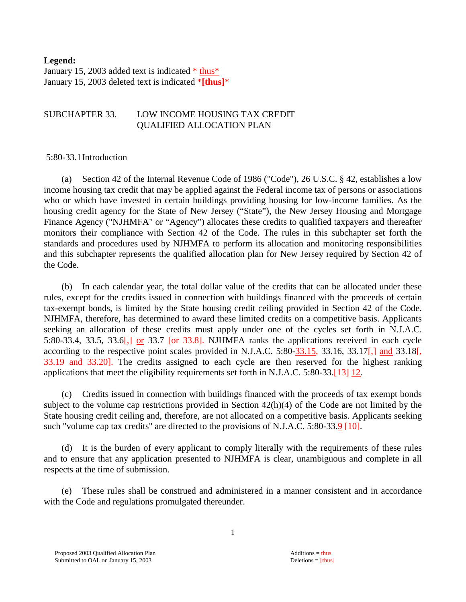#### **Legend:**

January 15, 2003 added text is indicated  $*$  thus\* January 15, 2003 deleted text is indicated \***[thus]**\*

#### SUBCHAPTER 33. LOW INCOME HOUSING TAX CREDIT QUALIFIED ALLOCATION PLAN

#### 5:80-33.1 Introduction

 (a) Section 42 of the Internal Revenue Code of 1986 ("Code"), 26 U.S.C. § 42, establishes a low income housing tax credit that may be applied against the Federal income tax of persons or associations who or which have invested in certain buildings providing housing for low-income families. As the housing credit agency for the State of New Jersey ("State"), the New Jersey Housing and Mortgage Finance Agency ("NJHMFA" or "Agency") allocates these credits to qualified taxpayers and thereafter monitors their compliance with Section 42 of the Code. The rules in this subchapter set forth the standards and procedures used by NJHMFA to perform its allocation and monitoring responsibilities and this subchapter represents the qualified allocation plan for New Jersey required by Section 42 of the Code.

 (b) In each calendar year, the total dollar value of the credits that can be allocated under these rules, except for the credits issued in connection with buildings financed with the proceeds of certain tax-exempt bonds, is limited by the State housing credit ceiling provided in Section 42 of the Code. NJHMFA, therefore, has determined to award these limited credits on a competitive basis. Applicants seeking an allocation of these credits must apply under one of the cycles set forth in N.J.A.C. 5:80-33.4, 33.5, 33.6[,] or 33.7 [or 33.8]. NJHMFA ranks the applications received in each cycle according to the respective point scales provided in N.J.A.C. 5:80-33.15, 33.16, 33.17[,] and 33.18[, 33.19 and 33.20]. The credits assigned to each cycle are then reserved for the highest ranking applications that meet the eligibility requirements set forth in N.J.A.C. 5:80-33.[13] 12.

 (c) Credits issued in connection with buildings financed with the proceeds of tax exempt bonds subject to the volume cap restrictions provided in Section 42(h)(4) of the Code are not limited by the State housing credit ceiling and, therefore, are not allocated on a competitive basis. Applicants seeking such "volume cap tax credits" are directed to the provisions of N.J.A.C. 5:80-33.9 [10].

 (d) It is the burden of every applicant to comply literally with the requirements of these rules and to ensure that any application presented to NJHMFA is clear, unambiguous and complete in all respects at the time of submission.

These rules shall be construed and administered in a manner consistent and in accordance with the Code and regulations promulgated thereunder.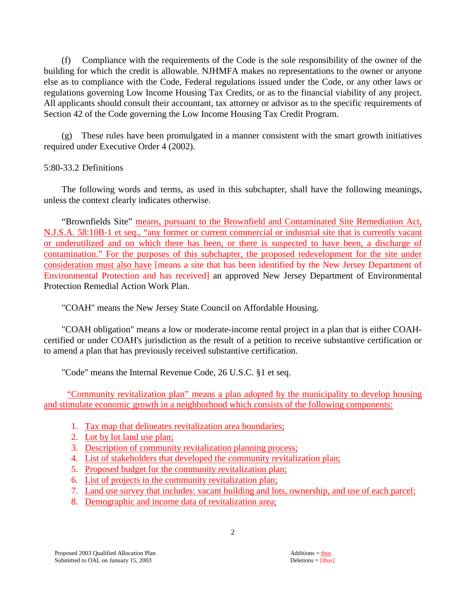(f) Compliance with the requirements of the Code is the sole responsibility of the owner of the building for which the credit is allowable. NJHMFA makes no representations to the owner or anyone else as to compliance with the Code, Federal regulations issued under the Code, or any other laws or regulations governing Low Income Housing Tax Credits, or as to the financial viability of any project. All applicants should consult their accountant, tax attorney or advisor as to the specific requirements of Section 42 of the Code governing the Low Income Housing Tax Credit Program.

(g) These rules have been promulgated in a manner consistent with the smart growth initiatives required under Executive Order 4 (2002).

# 5:80-33.2 Definitions

 The following words and terms, as used in this subchapter, shall have the following meanings, unless the context clearly indicates otherwise.

"Brownfields Site" means, pursuant to the Brownfield and Contaminated Site Remediation Act, N.J.S.A. 58:10B-1 et seq., "any former or current commercial or industrial site that is currently vacant or underutilized and on which there has been, or there is suspected to have been, a discharge of contamination." For the purposes of this subchapter, the proposed redevelopment for the site under consideration must also have [means a site that has been identified by the New Jersey Department of Environmental Protection and has received] an approved New Jersey Department of Environmental Protection Remedial Action Work Plan.

"COAH" means the New Jersey State Council on Affordable Housing.

 "COAH obligation" means a low or moderate-income rental project in a plan that is either COAHcertified or under COAH's jurisdiction as the result of a petition to receive substantive certification or to amend a plan that has previously received substantive certification.

"Code" means the Internal Revenue Code, 26 U.S.C. §1 et seq.

 "Community revitalization plan" means a plan adopted by the municipality to develop housing and stimulate economic growth in a neighborhood which consists of the following components:

- 1. Tax map that delineates revitalization area boundaries;
- 2. Lot by lot land use plan;
- 3. Description of community revitalization planning process;
- 4. List of stakeholders that developed the community revitalization plan;
- 5. Proposed budget for the community revitalization plan;
- 6. List of projects in the community revitalization plan;
- 7. Land use survey that includes: vacant building and lots, ownership, and use of each parcel;
- 8. Demographic and income data of revitalization area;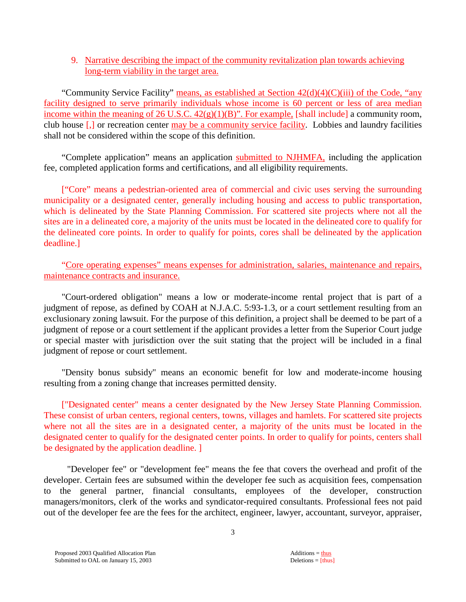# 9. Narrative describing the impact of the community revitalization plan towards achieving long-term viability in the target area.

"Community Service Facility" means, as established at Section  $42(d)(4)(C)(iii)$  of the Code, "any facility designed to serve primarily individuals whose income is 60 percent or less of area median income within the meaning of 26 U.S.C.  $42(g)(1)(B)$ ". For example, [shall include] a community room, club house [,] or recreation center may be a community service facility. Lobbies and laundry facilities shall not be considered within the scope of this definition.

"Complete application" means an application submitted to NJHMFA, including the application fee, completed application forms and certifications, and all eligibility requirements.

["Core" means a pedestrian-oriented area of commercial and civic uses serving the surrounding municipality or a designated center, generally including housing and access to public transportation, which is delineated by the State Planning Commission. For scattered site projects where not all the sites are in a delineated core, a majority of the units must be located in the delineated core to qualify for the delineated core points. In order to qualify for points, cores shall be delineated by the application deadline.]

 "Core operating expenses" means expenses for administration, salaries, maintenance and repairs, maintenance contracts and insurance.

 "Court-ordered obligation" means a low or moderate-income rental project that is part of a judgment of repose, as defined by COAH at N.J.A.C. 5:93-1.3, or a court settlement resulting from an exclusionary zoning lawsuit. For the purpose of this definition, a project shall be deemed to be part of a judgment of repose or a court settlement if the applicant provides a letter from the Superior Court judge or special master with jurisdiction over the suit stating that the project will be included in a final judgment of repose or court settlement.

 "Density bonus subsidy" means an economic benefit for low and moderate-income housing resulting from a zoning change that increases permitted density.

["Designated center" means a center designated by the New Jersey State Planning Commission. These consist of urban centers, regional centers, towns, villages and hamlets. For scattered site projects where not all the sites are in a designated center, a majority of the units must be located in the designated center to qualify for the designated center points. In order to qualify for points, centers shall be designated by the application deadline. ]

 "Developer fee" or "development fee" means the fee that covers the overhead and profit of the developer. Certain fees are subsumed within the developer fee such as acquisition fees, compensation to the general partner, financial consultants, employees of the developer, construction managers/monitors, clerk of the works and syndicator-required consultants. Professional fees not paid out of the developer fee are the fees for the architect, engineer, lawyer, accountant, surveyor, appraiser,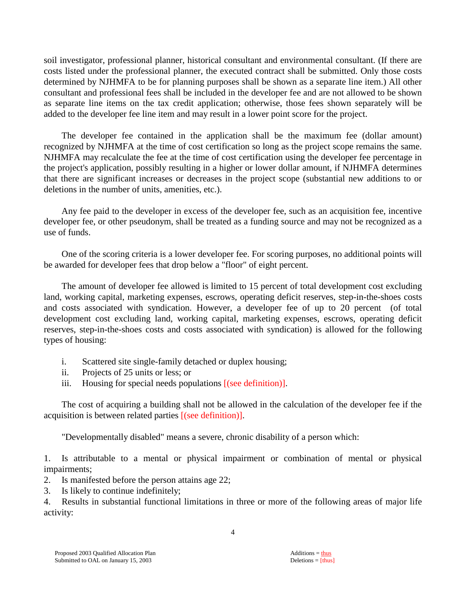soil investigator, professional planner, historical consultant and environmental consultant. (If there are costs listed under the professional planner, the executed contract shall be submitted. Only those costs determined by NJHMFA to be for planning purposes shall be shown as a separate line item.) All other consultant and professional fees shall be included in the developer fee and are not allowed to be shown as separate line items on the tax credit application; otherwise, those fees shown separately will be added to the developer fee line item and may result in a lower point score for the project.

 The developer fee contained in the application shall be the maximum fee (dollar amount) recognized by NJHMFA at the time of cost certification so long as the project scope remains the same. NJHMFA may recalculate the fee at the time of cost certification using the developer fee percentage in the project's application, possibly resulting in a higher or lower dollar amount, if NJHMFA determines that there are significant increases or decreases in the project scope (substantial new additions to or deletions in the number of units, amenities, etc.).

 Any fee paid to the developer in excess of the developer fee, such as an acquisition fee, incentive developer fee, or other pseudonym, shall be treated as a funding source and may not be recognized as a use of funds.

 One of the scoring criteria is a lower developer fee. For scoring purposes, no additional points will be awarded for developer fees that drop below a "floor" of eight percent.

 The amount of developer fee allowed is limited to 15 percent of total development cost excluding land, working capital, marketing expenses, escrows, operating deficit reserves, step-in-the-shoes costs and costs associated with syndication. However, a developer fee of up to 20 percent (of total development cost excluding land, working capital, marketing expenses, escrows, operating deficit reserves, step-in-the-shoes costs and costs associated with syndication) is allowed for the following types of housing:

- i. Scattered site single-family detached or duplex housing;
- ii. Projects of 25 units or less; or
- iii. Housing for special needs populations [(see definition)].

 The cost of acquiring a building shall not be allowed in the calculation of the developer fee if the acquisition is between related parties [(see definition)].

"Developmentally disabled" means a severe, chronic disability of a person which:

1. Is attributable to a mental or physical impairment or combination of mental or physical impairments;

- 2. Is manifested before the person attains age 22;
- 3. Is likely to continue indefinitely;

4. Results in substantial functional limitations in three or more of the following areas of major life activity: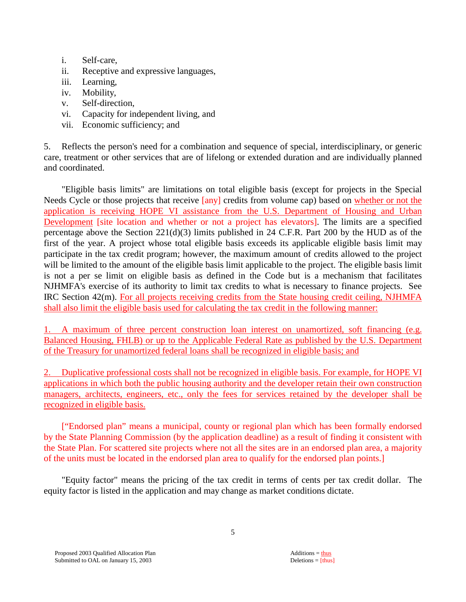- i. Self-care,
- ii. Receptive and expressive languages,
- iii. Learning,
- iv. Mobility,
- v. Self-direction,
- vi. Capacity for independent living, and
- vii. Economic sufficiency; and

5. Reflects the person's need for a combination and sequence of special, interdisciplinary, or generic care, treatment or other services that are of lifelong or extended duration and are individually planned and coordinated.

 "Eligible basis limits" are limitations on total eligible basis (except for projects in the Special Needs Cycle or those projects that receive  $\sqrt{|\text{any}|}$  credits from volume cap) based on whether or not the application is receiving HOPE VI assistance from the U.S. Department of Housing and Urban Development [site location and whether or not a project has elevators]. The limits are a specified percentage above the Section 221(d)(3) limits published in 24 C.F.R. Part 200 by the HUD as of the first of the year. A project whose total eligible basis exceeds its applicable eligible basis limit may participate in the tax credit program; however, the maximum amount of credits allowed to the project will be limited to the amount of the eligible basis limit applicable to the project. The eligible basis limit is not a per se limit on eligible basis as defined in the Code but is a mechanism that facilitates NJHMFA's exercise of its authority to limit tax credits to what is necessary to finance projects. See IRC Section 42(m). For all projects receiving credits from the State housing credit ceiling, NJHMFA shall also limit the eligible basis used for calculating the tax credit in the following manner:

1. A maximum of three percent construction loan interest on unamortized, soft financing (e.g. Balanced Housing, FHLB) or up to the Applicable Federal Rate as published by the U.S. Department of the Treasury for unamortized federal loans shall be recognized in eligible basis; and

2. Duplicative professional costs shall not be recognized in eligible basis. For example, for HOPE VI applications in which both the public housing authority and the developer retain their own construction managers, architects, engineers, etc., only the fees for services retained by the developer shall be recognized in eligible basis.

 ["Endorsed plan" means a municipal, county or regional plan which has been formally endorsed by the State Planning Commission (by the application deadline) as a result of finding it consistent with the State Plan. For scattered site projects where not all the sites are in an endorsed plan area, a majority of the units must be located in the endorsed plan area to qualify for the endorsed plan points.]

 "Equity factor" means the pricing of the tax credit in terms of cents per tax credit dollar. The equity factor is listed in the application and may change as market conditions dictate.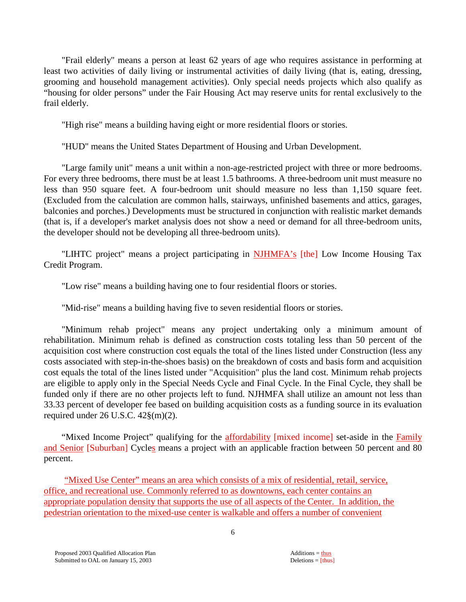"Frail elderly" means a person at least 62 years of age who requires assistance in performing at least two activities of daily living or instrumental activities of daily living (that is, eating, dressing, grooming and household management activities). Only special needs projects which also qualify as "housing for older persons" under the Fair Housing Act may reserve units for rental exclusively to the frail elderly.

"High rise" means a building having eight or more residential floors or stories.

"HUD" means the United States Department of Housing and Urban Development.

 "Large family unit" means a unit within a non-age-restricted project with three or more bedrooms. For every three bedrooms, there must be at least 1.5 bathrooms. A three-bedroom unit must measure no less than 950 square feet. A four-bedroom unit should measure no less than 1,150 square feet. (Excluded from the calculation are common halls, stairways, unfinished basements and attics, garages, balconies and porches.) Developments must be structured in conjunction with realistic market demands (that is, if a developer's market analysis does not show a need or demand for all three-bedroom units, the developer should not be developing all three-bedroom units).

"LIHTC project" means a project participating in NJHMFA's [the] Low Income Housing Tax Credit Program.

"Low rise" means a building having one to four residential floors or stories.

"Mid-rise" means a building having five to seven residential floors or stories.

 "Minimum rehab project" means any project undertaking only a minimum amount of rehabilitation. Minimum rehab is defined as construction costs totaling less than 50 percent of the acquisition cost where construction cost equals the total of the lines listed under Construction (less any costs associated with step-in-the-shoes basis) on the breakdown of costs and basis form and acquisition cost equals the total of the lines listed under "Acquisition" plus the land cost. Minimum rehab projects are eligible to apply only in the Special Needs Cycle and Final Cycle. In the Final Cycle, they shall be funded only if there are no other projects left to fund. NJHMFA shall utilize an amount not less than 33.33 percent of developer fee based on building acquisition costs as a funding source in its evaluation required under  $26$  U.S.C.  $42\frac{8}{m}(2)$ .

"Mixed Income Project" qualifying for the **affordability** [mixed income] set-aside in the Family and Senior [Suburban] Cycles means a project with an applicable fraction between 50 percent and 80 percent.

"Mixed Use Center" means an area which consists of a mix of residential, retail, service, office, and recreational use. Commonly referred to as downtowns, each center contains an appropriate population density that supports the use of all aspects of the Center. In addition, the pedestrian orientation to the mixed-use center is walkable and offers a number of convenient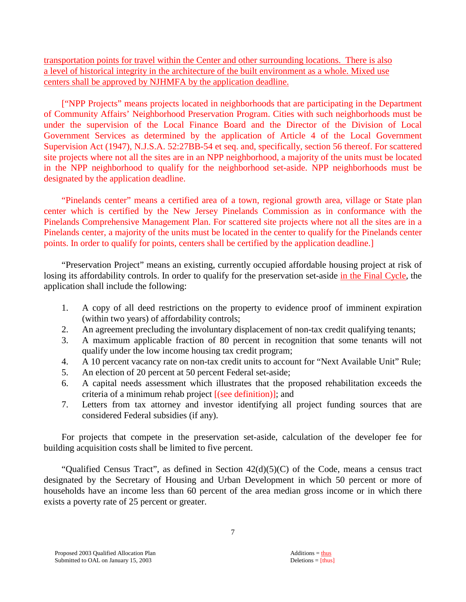transportation points for travel within the Center and other surrounding locations. There is also a level of historical integrity in the architecture of the built environment as a whole. Mixed use centers shall be approved by NJHMFA by the application deadline.

["NPP Projects" means projects located in neighborhoods that are participating in the Department of Community Affairs' Neighborhood Preservation Program. Cities with such neighborhoods must be under the supervision of the Local Finance Board and the Director of the Division of Local Government Services as determined by the application of Article 4 of the Local Government Supervision Act (1947), N.J.S.A. 52:27BB-54 et seq. and, specifically, section 56 thereof. For scattered site projects where not all the sites are in an NPP neighborhood, a majority of the units must be located in the NPP neighborhood to qualify for the neighborhood set-aside. NPP neighborhoods must be designated by the application deadline.

 "Pinelands center" means a certified area of a town, regional growth area, village or State plan center which is certified by the New Jersey Pinelands Commission as in conformance with the Pinelands Comprehensive Management Plan. For scattered site projects where not all the sites are in a Pinelands center, a majority of the units must be located in the center to qualify for the Pinelands center points. In order to qualify for points, centers shall be certified by the application deadline.]

 "Preservation Project" means an existing, currently occupied affordable housing project at risk of losing its affordability controls. In order to qualify for the preservation set-aside in the Final Cycle, the application shall include the following:

- 1. A copy of all deed restrictions on the property to evidence proof of imminent expiration (within two years) of affordability controls;
- 2. An agreement precluding the involuntary displacement of non-tax credit qualifying tenants;
- 3. A maximum applicable fraction of 80 percent in recognition that some tenants will not qualify under the low income housing tax credit program;
- 4. A 10 percent vacancy rate on non-tax credit units to account for "Next Available Unit" Rule;
- 5. An election of 20 percent at 50 percent Federal set-aside;
- 6. A capital needs assessment which illustrates that the proposed rehabilitation exceeds the criteria of a minimum rehab project [(see definition)]; and
- 7. Letters from tax attorney and investor identifying all project funding sources that are considered Federal subsidies (if any).

 For projects that compete in the preservation set-aside, calculation of the developer fee for building acquisition costs shall be limited to five percent.

 "Qualified Census Tract", as defined in Section 42(d)(5)(C) of the Code, means a census tract designated by the Secretary of Housing and Urban Development in which 50 percent or more of households have an income less than 60 percent of the area median gross income or in which there exists a poverty rate of 25 percent or greater.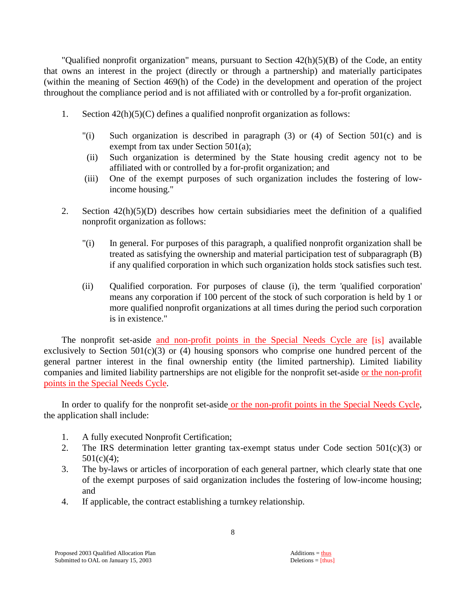"Qualified nonprofit organization" means, pursuant to Section 42(h)(5)(B) of the Code, an entity that owns an interest in the project (directly or through a partnership) and materially participates (within the meaning of Section 469(h) of the Code) in the development and operation of the project throughout the compliance period and is not affiliated with or controlled by a for-profit organization.

- 1. Section  $42(h)(5)(C)$  defines a qualified nonprofit organization as follows:
	- "(i) Such organization is described in paragraph (3) or (4) of Section 501(c) and is exempt from tax under Section 501(a);
	- (ii) Such organization is determined by the State housing credit agency not to be affiliated with or controlled by a for-profit organization; and
	- (iii) One of the exempt purposes of such organization includes the fostering of lowincome housing."
- 2. Section 42(h)(5)(D) describes how certain subsidiaries meet the definition of a qualified nonprofit organization as follows:
	- "(i) In general. For purposes of this paragraph, a qualified nonprofit organization shall be treated as satisfying the ownership and material participation test of subparagraph (B) if any qualified corporation in which such organization holds stock satisfies such test.
	- (ii) Qualified corporation. For purposes of clause (i), the term 'qualified corporation' means any corporation if 100 percent of the stock of such corporation is held by 1 or more qualified nonprofit organizations at all times during the period such corporation is in existence."

The nonprofit set-aside and non-profit points in the Special Needs Cycle are [is] available exclusively to Section  $501(c)(3)$  or (4) housing sponsors who comprise one hundred percent of the general partner interest in the final ownership entity (the limited partnership). Limited liability companies and limited liability partnerships are not eligible for the nonprofit set-aside or the non-profit points in the Special Needs Cycle.

 In order to qualify for the nonprofit set-aside or the non-profit points in the Special Needs Cycle, the application shall include:

- 1. A fully executed Nonprofit Certification;
- 2. The IRS determination letter granting tax-exempt status under Code section  $501(c)(3)$  or  $501(c)(4)$ ;
- 3. The by-laws or articles of incorporation of each general partner, which clearly state that one of the exempt purposes of said organization includes the fostering of low-income housing; and
- 4. If applicable, the contract establishing a turnkey relationship.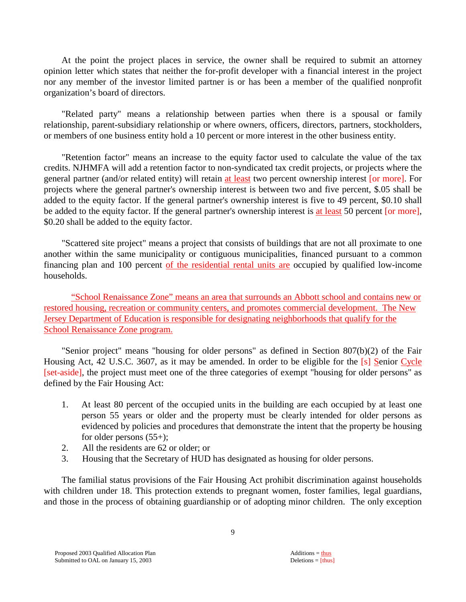At the point the project places in service, the owner shall be required to submit an attorney opinion letter which states that neither the for-profit developer with a financial interest in the project nor any member of the investor limited partner is or has been a member of the qualified nonprofit organization's board of directors.

 "Related party" means a relationship between parties when there is a spousal or family relationship, parent-subsidiary relationship or where owners, officers, directors, partners, stockholders, or members of one business entity hold a 10 percent or more interest in the other business entity.

 "Retention factor" means an increase to the equity factor used to calculate the value of the tax credits. NJHMFA will add a retention factor to non-syndicated tax credit projects, or projects where the general partner (and/or related entity) will retain at least two percent ownership interest [or more]. For projects where the general partner's ownership interest is between two and five percent, \$.05 shall be added to the equity factor. If the general partner's ownership interest is five to 49 percent, \$0.10 shall be added to the equity factor. If the general partner's ownership interest is at least 50 percent [or more], \$0.20 shall be added to the equity factor.

 "Scattered site project" means a project that consists of buildings that are not all proximate to one another within the same municipality or contiguous municipalities, financed pursuant to a common financing plan and 100 percent of the residential rental units are occupied by qualified low-income households.

"School Renaissance Zone" means an area that surrounds an Abbott school and contains new or restored housing, recreation or community centers, and promotes commercial development. The New Jersey Department of Education is responsible for designating neighborhoods that qualify for the School Renaissance Zone program.

 "Senior project" means "housing for older persons" as defined in Section 807(b)(2) of the Fair Housing Act, 42 U.S.C. 3607, as it may be amended. In order to be eligible for the [s] Senior Cycle [set-aside], the project must meet one of the three categories of exempt "housing for older persons" as defined by the Fair Housing Act:

- 1. At least 80 percent of the occupied units in the building are each occupied by at least one person 55 years or older and the property must be clearly intended for older persons as evidenced by policies and procedures that demonstrate the intent that the property be housing for older persons  $(55+)$ ;
- 2. All the residents are 62 or older; or
- 3. Housing that the Secretary of HUD has designated as housing for older persons.

 The familial status provisions of the Fair Housing Act prohibit discrimination against households with children under 18. This protection extends to pregnant women, foster families, legal guardians, and those in the process of obtaining guardianship or of adopting minor children. The only exception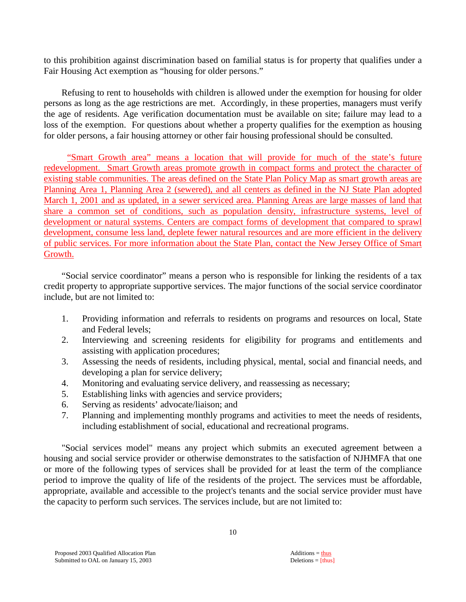to this prohibition against discrimination based on familial status is for property that qualifies under a Fair Housing Act exemption as "housing for older persons."

 Refusing to rent to households with children is allowed under the exemption for housing for older persons as long as the age restrictions are met. Accordingly, in these properties, managers must verify the age of residents. Age verification documentation must be available on site; failure may lead to a loss of the exemption. For questions about whether a property qualifies for the exemption as housing for older persons, a fair housing attorney or other fair housing professional should be consulted.

 "Smart Growth area" means a location that will provide for much of the state's future redevelopment. Smart Growth areas promote growth in compact forms and protect the character of existing stable communities. The areas defined on the State Plan Policy Map as smart growth areas are Planning Area 1, Planning Area 2 (sewered), and all centers as defined in the NJ State Plan adopted March 1, 2001 and as updated, in a sewer serviced area. Planning Areas are large masses of land that share a common set of conditions, such as population density, infrastructure systems, level of development or natural systems. Centers are compact forms of development that compared to sprawl development, consume less land, deplete fewer natural resources and are more efficient in the delivery of public services. For more information about the State Plan, contact the New Jersey Office of Smart Growth.

 "Social service coordinator" means a person who is responsible for linking the residents of a tax credit property to appropriate supportive services. The major functions of the social service coordinator include, but are not limited to:

- 1. Providing information and referrals to residents on programs and resources on local, State and Federal levels;
- 2. Interviewing and screening residents for eligibility for programs and entitlements and assisting with application procedures;
- 3. Assessing the needs of residents, including physical, mental, social and financial needs, and developing a plan for service delivery;
- 4. Monitoring and evaluating service delivery, and reassessing as necessary;
- 5. Establishing links with agencies and service providers;
- 6. Serving as residents' advocate/liaison; and
- 7. Planning and implementing monthly programs and activities to meet the needs of residents, including establishment of social, educational and recreational programs.

 "Social services model" means any project which submits an executed agreement between a housing and social service provider or otherwise demonstrates to the satisfaction of NJHMFA that one or more of the following types of services shall be provided for at least the term of the compliance period to improve the quality of life of the residents of the project. The services must be affordable, appropriate, available and accessible to the project's tenants and the social service provider must have the capacity to perform such services. The services include, but are not limited to: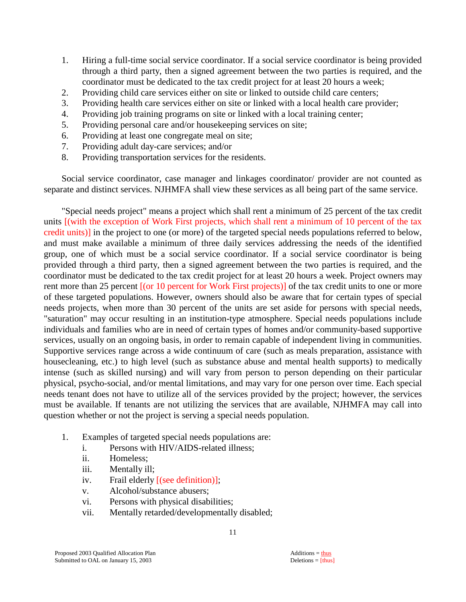- 1. Hiring a full-time social service coordinator. If a social service coordinator is being provided through a third party, then a signed agreement between the two parties is required, and the coordinator must be dedicated to the tax credit project for at least 20 hours a week;
- 2. Providing child care services either on site or linked to outside child care centers;
- 3. Providing health care services either on site or linked with a local health care provider;
- 4. Providing job training programs on site or linked with a local training center;
- 5. Providing personal care and/or housekeeping services on site;
- 6. Providing at least one congregate meal on site;
- 7. Providing adult day-care services; and/or
- 8. Providing transportation services for the residents.

 Social service coordinator, case manager and linkages coordinator/ provider are not counted as separate and distinct services. NJHMFA shall view these services as all being part of the same service.

 "Special needs project" means a project which shall rent a minimum of 25 percent of the tax credit units [(with the exception of Work First projects, which shall rent a minimum of 10 percent of the tax credit units)] in the project to one (or more) of the targeted special needs populations referred to below, and must make available a minimum of three daily services addressing the needs of the identified group, one of which must be a social service coordinator. If a social service coordinator is being provided through a third party, then a signed agreement between the two parties is required, and the coordinator must be dedicated to the tax credit project for at least 20 hours a week. Project owners may rent more than 25 percent [(or 10 percent for Work First projects)] of the tax credit units to one or more of these targeted populations. However, owners should also be aware that for certain types of special needs projects, when more than 30 percent of the units are set aside for persons with special needs, "saturation" may occur resulting in an institution-type atmosphere. Special needs populations include individuals and families who are in need of certain types of homes and/or community-based supportive services, usually on an ongoing basis, in order to remain capable of independent living in communities. Supportive services range across a wide continuum of care (such as meals preparation, assistance with housecleaning, etc.) to high level (such as substance abuse and mental health supports) to medically intense (such as skilled nursing) and will vary from person to person depending on their particular physical, psycho-social, and/or mental limitations, and may vary for one person over time. Each special needs tenant does not have to utilize all of the services provided by the project; however, the services must be available. If tenants are not utilizing the services that are available, NJHMFA may call into question whether or not the project is serving a special needs population.

- 1. Examples of targeted special needs populations are:
	- i. Persons with HIV/AIDS-related illness;
	- ii. Homeless;
	- iii. Mentally ill;
	- iv. Frail elderly [(see definition)];
	- v. Alcohol/substance abusers;
	- vi. Persons with physical disabilities;
	- vii. Mentally retarded/developmentally disabled;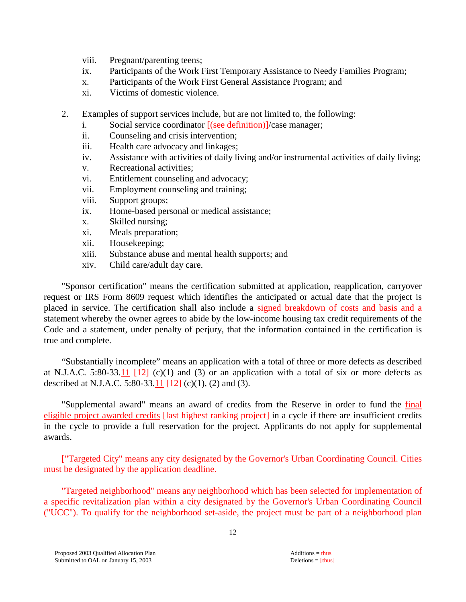- viii. Pregnant/parenting teens;
- ix. Participants of the Work First Temporary Assistance to Needy Families Program;
- x. Participants of the Work First General Assistance Program; and
- xi. Victims of domestic violence.
- 2. Examples of support services include, but are not limited to, the following:
	- i. Social service coordinator [(see definition)]/case manager;
	- ii. Counseling and crisis intervention;
	- iii. Health care advocacy and linkages;
	- iv. Assistance with activities of daily living and/or instrumental activities of daily living;
	- v. Recreational activities;
	- vi. Entitlement counseling and advocacy;
	- vii. Employment counseling and training;
	- viii. Support groups;
	- ix. Home-based personal or medical assistance;
	- x. Skilled nursing;
	- xi. Meals preparation;
	- xii. Housekeeping;
	- xiii. Substance abuse and mental health supports; and
	- xiv. Child care/adult day care.

 "Sponsor certification" means the certification submitted at application, reapplication, carryover request or IRS Form 8609 request which identifies the anticipated or actual date that the project is placed in service. The certification shall also include a signed breakdown of costs and basis and a statement whereby the owner agrees to abide by the low-income housing tax credit requirements of the Code and a statement, under penalty of perjury, that the information contained in the certification is true and complete.

 "Substantially incomplete" means an application with a total of three or more defects as described at N.J.A.C. 5:80-33.11  $\lceil 12 \rceil$  (c)(1) and (3) or an application with a total of six or more defects as described at N.J.A.C. 5:80-33.11 [12] (c)(1), (2) and (3).

 "Supplemental award" means an award of credits from the Reserve in order to fund the final eligible project awarded credits [last highest ranking project] in a cycle if there are insufficient credits in the cycle to provide a full reservation for the project. Applicants do not apply for supplemental awards.

["Targeted City" means any city designated by the Governor's Urban Coordinating Council. Cities must be designated by the application deadline.

 "Targeted neighborhood" means any neighborhood which has been selected for implementation of a specific revitalization plan within a city designated by the Governor's Urban Coordinating Council ("UCC"). To qualify for the neighborhood set-aside, the project must be part of a neighborhood plan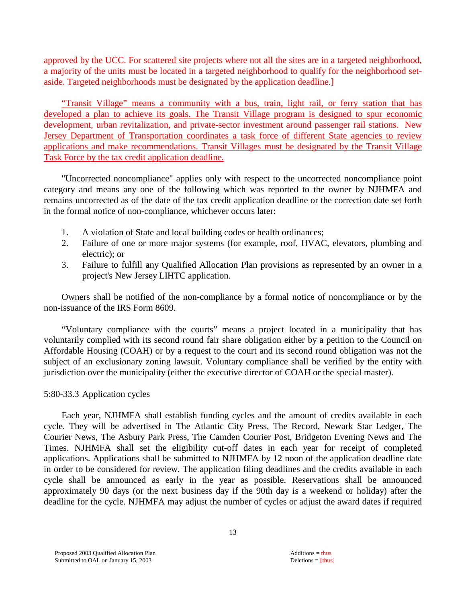approved by the UCC. For scattered site projects where not all the sites are in a targeted neighborhood, a majority of the units must be located in a targeted neighborhood to qualify for the neighborhood setaside. Targeted neighborhoods must be designated by the application deadline.]

 "Transit Village" means a community with a bus, train, light rail, or ferry station that has developed a plan to achieve its goals. The Transit Village program is designed to spur economic development, urban revitalization, and private-sector investment around passenger rail stations. New Jersey Department of Transportation coordinates a task force of different State agencies to review applications and make recommendations. Transit Villages must be designated by the Transit Village Task Force by the tax credit application deadline.

 "Uncorrected noncompliance" applies only with respect to the uncorrected noncompliance point category and means any one of the following which was reported to the owner by NJHMFA and remains uncorrected as of the date of the tax credit application deadline or the correction date set forth in the formal notice of non-compliance, whichever occurs later:

- 1. A violation of State and local building codes or health ordinances;
- 2. Failure of one or more major systems (for example, roof, HVAC, elevators, plumbing and electric); or
- 3. Failure to fulfill any Qualified Allocation Plan provisions as represented by an owner in a project's New Jersey LIHTC application.

 Owners shall be notified of the non-compliance by a formal notice of noncompliance or by the non-issuance of the IRS Form 8609.

 "Voluntary compliance with the courts" means a project located in a municipality that has voluntarily complied with its second round fair share obligation either by a petition to the Council on Affordable Housing (COAH) or by a request to the court and its second round obligation was not the subject of an exclusionary zoning lawsuit. Voluntary compliance shall be verified by the entity with jurisdiction over the municipality (either the executive director of COAH or the special master).

#### 5:80-33.3 Application cycles

 Each year, NJHMFA shall establish funding cycles and the amount of credits available in each cycle. They will be advertised in The Atlantic City Press, The Record, Newark Star Ledger, The Courier News, The Asbury Park Press, The Camden Courier Post, Bridgeton Evening News and The Times. NJHMFA shall set the eligibility cut-off dates in each year for receipt of completed applications. Applications shall be submitted to NJHMFA by 12 noon of the application deadline date in order to be considered for review. The application filing deadlines and the credits available in each cycle shall be announced as early in the year as possible. Reservations shall be announced approximately 90 days (or the next business day if the 90th day is a weekend or holiday) after the deadline for the cycle. NJHMFA may adjust the number of cycles or adjust the award dates if required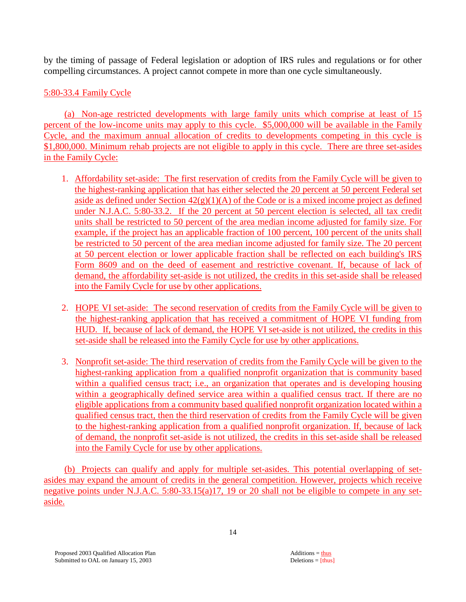by the timing of passage of Federal legislation or adoption of IRS rules and regulations or for other compelling circumstances. A project cannot compete in more than one cycle simultaneously.

# 5:80-33.4 Family Cycle

 (a) Non-age restricted developments with large family units which comprise at least of 15 percent of the low-income units may apply to this cycle. \$5,000,000 will be available in the Family Cycle, and the maximum annual allocation of credits to developments competing in this cycle is \$1,800,000. Minimum rehab projects are not eligible to apply in this cycle. There are three set-asides in the Family Cycle:

- 1. Affordability set-aside: The first reservation of credits from the Family Cycle will be given to the highest-ranking application that has either selected the 20 percent at 50 percent Federal set aside as defined under Section  $42(g)(1)(A)$  of the Code or is a mixed income project as defined under N.J.A.C. 5:80-33.2. If the 20 percent at 50 percent election is selected, all tax credit units shall be restricted to 50 percent of the area median income adjusted for family size. For example, if the project has an applicable fraction of 100 percent, 100 percent of the units shall be restricted to 50 percent of the area median income adjusted for family size. The 20 percent at 50 percent election or lower applicable fraction shall be reflected on each building's IRS Form 8609 and on the deed of easement and restrictive covenant. If, because of lack of demand, the affordability set-aside is not utilized, the credits in this set-aside shall be released into the Family Cycle for use by other applications.
- 2. HOPE VI set-aside: The second reservation of credits from the Family Cycle will be given to the highest-ranking application that has received a commitment of HOPE VI funding from HUD. If, because of lack of demand, the HOPE VI set-aside is not utilized, the credits in this set-aside shall be released into the Family Cycle for use by other applications.
- 3. Nonprofit set-aside: The third reservation of credits from the Family Cycle will be given to the highest-ranking application from a qualified nonprofit organization that is community based within a qualified census tract; i.e., an organization that operates and is developing housing within a geographically defined service area within a qualified census tract. If there are no eligible applications from a community based qualified nonprofit organization located within a qualified census tract, then the third reservation of credits from the Family Cycle will be given to the highest-ranking application from a qualified nonprofit organization. If, because of lack of demand, the nonprofit set-aside is not utilized, the credits in this set-aside shall be released into the Family Cycle for use by other applications.

 (b) Projects can qualify and apply for multiple set-asides. This potential overlapping of setasides may expand the amount of credits in the general competition. However, projects which receive negative points under N.J.A.C. 5:80-33.15(a)17, 19 or 20 shall not be eligible to compete in any setaside.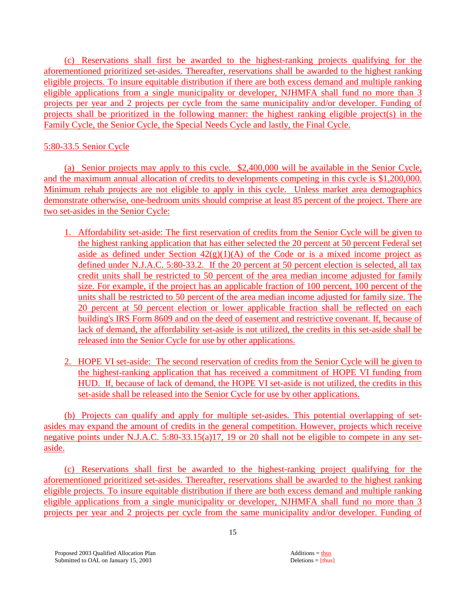(c) Reservations shall first be awarded to the highest-ranking projects qualifying for the aforementioned prioritized set-asides. Thereafter, reservations shall be awarded to the highest ranking eligible projects. To insure equitable distribution if there are both excess demand and multiple ranking eligible applications from a single municipality or developer, NJHMFA shall fund no more than 3 projects per year and 2 projects per cycle from the same municipality and/or developer. Funding of projects shall be prioritized in the following manner: the highest ranking eligible project(s) in the Family Cycle, the Senior Cycle, the Special Needs Cycle and lastly, the Final Cycle.

# 5:80-33.5 Senior Cycle

 (a) Senior projects may apply to this cycle. \$2,400,000 will be available in the Senior Cycle, and the maximum annual allocation of credits to developments competing in this cycle is \$1,200,000. Minimum rehab projects are not eligible to apply in this cycle. Unless market area demographics demonstrate otherwise, one-bedroom units should comprise at least 85 percent of the project. There are two set-asides in the Senior Cycle:

- 1. Affordability set-aside: The first reservation of credits from the Senior Cycle will be given to the highest ranking application that has either selected the 20 percent at 50 percent Federal set aside as defined under Section  $42(g)(1)(A)$  of the Code or is a mixed income project as defined under N.J.A.C. 5:80-33.2. If the 20 percent at 50 percent election is selected, all tax credit units shall be restricted to 50 percent of the area median income adjusted for family size. For example, if the project has an applicable fraction of 100 percent, 100 percent of the units shall be restricted to 50 percent of the area median income adjusted for family size. The 20 percent at 50 percent election or lower applicable fraction shall be reflected on each building's IRS Form 8609 and on the deed of easement and restrictive covenant. If, because of lack of demand, the affordability set-aside is not utilized, the credits in this set-aside shall be released into the Senior Cycle for use by other applications.
- 2. HOPE VI set-aside: The second reservation of credits from the Senior Cycle will be given to the highest-ranking application that has received a commitment of HOPE VI funding from HUD. If, because of lack of demand, the HOPE VI set-aside is not utilized, the credits in this set-aside shall be released into the Senior Cycle for use by other applications.

 (b) Projects can qualify and apply for multiple set-asides. This potential overlapping of setasides may expand the amount of credits in the general competition. However, projects which receive negative points under N.J.A.C. 5:80-33.15(a)17, 19 or 20 shall not be eligible to compete in any setaside.

 (c) Reservations shall first be awarded to the highest-ranking project qualifying for the aforementioned prioritized set-asides. Thereafter, reservations shall be awarded to the highest ranking eligible projects. To insure equitable distribution if there are both excess demand and multiple ranking eligible applications from a single municipality or developer, NJHMFA shall fund no more than 3 projects per year and 2 projects per cycle from the same municipality and/or developer. Funding of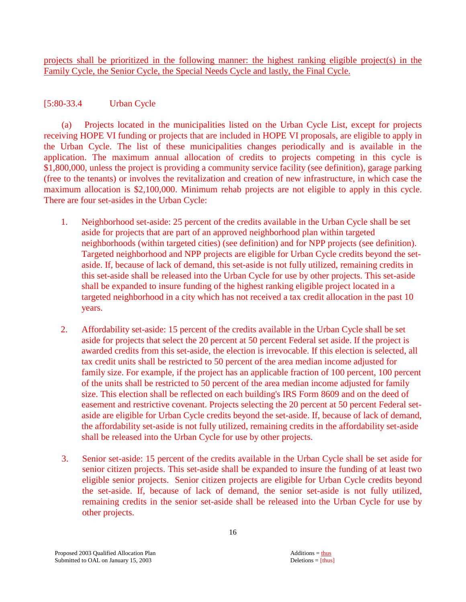projects shall be prioritized in the following manner: the highest ranking eligible project(s) in the Family Cycle, the Senior Cycle, the Special Needs Cycle and lastly, the Final Cycle.

# [5:80-33.4 Urban Cycle

 (a) Projects located in the municipalities listed on the Urban Cycle List, except for projects receiving HOPE VI funding or projects that are included in HOPE VI proposals, are eligible to apply in the Urban Cycle. The list of these municipalities changes periodically and is available in the application. The maximum annual allocation of credits to projects competing in this cycle is \$1,800,000, unless the project is providing a community service facility (see definition), garage parking (free to the tenants) or involves the revitalization and creation of new infrastructure, in which case the maximum allocation is \$2,100,000. Minimum rehab projects are not eligible to apply in this cycle. There are four set-asides in the Urban Cycle:

- 1. Neighborhood set-aside: 25 percent of the credits available in the Urban Cycle shall be set aside for projects that are part of an approved neighborhood plan within targeted neighborhoods (within targeted cities) (see definition) and for NPP projects (see definition). Targeted neighborhood and NPP projects are eligible for Urban Cycle credits beyond the setaside. If, because of lack of demand, this set-aside is not fully utilized, remaining credits in this set-aside shall be released into the Urban Cycle for use by other projects. This set-aside shall be expanded to insure funding of the highest ranking eligible project located in a targeted neighborhood in a city which has not received a tax credit allocation in the past 10 years.
- 2. Affordability set-aside: 15 percent of the credits available in the Urban Cycle shall be set aside for projects that select the 20 percent at 50 percent Federal set aside. If the project is awarded credits from this set-aside, the election is irrevocable. If this election is selected, all tax credit units shall be restricted to 50 percent of the area median income adjusted for family size. For example, if the project has an applicable fraction of 100 percent, 100 percent of the units shall be restricted to 50 percent of the area median income adjusted for family size. This election shall be reflected on each building's IRS Form 8609 and on the deed of easement and restrictive covenant. Projects selecting the 20 percent at 50 percent Federal setaside are eligible for Urban Cycle credits beyond the set-aside. If, because of lack of demand, the affordability set-aside is not fully utilized, remaining credits in the affordability set-aside shall be released into the Urban Cycle for use by other projects.
- 3. Senior set-aside: 15 percent of the credits available in the Urban Cycle shall be set aside for senior citizen projects. This set-aside shall be expanded to insure the funding of at least two eligible senior projects. Senior citizen projects are eligible for Urban Cycle credits beyond the set-aside. If, because of lack of demand, the senior set-aside is not fully utilized, remaining credits in the senior set-aside shall be released into the Urban Cycle for use by other projects.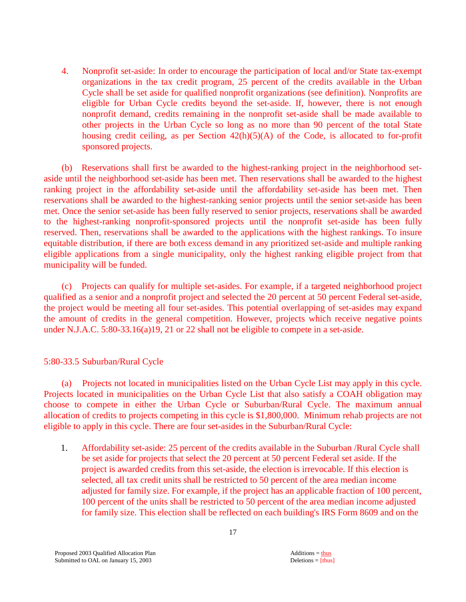4. Nonprofit set-aside: In order to encourage the participation of local and/or State tax-exempt organizations in the tax credit program, 25 percent of the credits available in the Urban Cycle shall be set aside for qualified nonprofit organizations (see definition). Nonprofits are eligible for Urban Cycle credits beyond the set-aside. If, however, there is not enough nonprofit demand, credits remaining in the nonprofit set-aside shall be made available to other projects in the Urban Cycle so long as no more than 90 percent of the total State housing credit ceiling, as per Section  $42(h)(5)(A)$  of the Code, is allocated to for-profit sponsored projects.

 (b) Reservations shall first be awarded to the highest-ranking project in the neighborhood setaside until the neighborhood set-aside has been met. Then reservations shall be awarded to the highest ranking project in the affordability set-aside until the affordability set-aside has been met. Then reservations shall be awarded to the highest-ranking senior projects until the senior set-aside has been met. Once the senior set-aside has been fully reserved to senior projects, reservations shall be awarded to the highest-ranking nonprofit-sponsored projects until the nonprofit set-aside has been fully reserved. Then, reservations shall be awarded to the applications with the highest rankings. To insure equitable distribution, if there are both excess demand in any prioritized set-aside and multiple ranking eligible applications from a single municipality, only the highest ranking eligible project from that municipality will be funded.

 (c) Projects can qualify for multiple set-asides. For example, if a targeted neighborhood project qualified as a senior and a nonprofit project and selected the 20 percent at 50 percent Federal set-aside, the project would be meeting all four set-asides. This potential overlapping of set-asides may expand the amount of credits in the general competition. However, projects which receive negative points under N.J.A.C. 5:80-33.16(a)19, 21 or 22 shall not be eligible to compete in a set-aside.

# 5:80-33.5 Suburban/Rural Cycle

 (a) Projects not located in municipalities listed on the Urban Cycle List may apply in this cycle. Projects located in municipalities on the Urban Cycle List that also satisfy a COAH obligation may choose to compete in either the Urban Cycle or Suburban/Rural Cycle. The maximum annual allocation of credits to projects competing in this cycle is \$1,800,000. Minimum rehab projects are not eligible to apply in this cycle. There are four set-asides in the Suburban/Rural Cycle:

1. Affordability set-aside: 25 percent of the credits available in the Suburban /Rural Cycle shall be set aside for projects that select the 20 percent at 50 percent Federal set aside. If the project is awarded credits from this set-aside, the election is irrevocable. If this election is selected, all tax credit units shall be restricted to 50 percent of the area median income adjusted for family size. For example, if the project has an applicable fraction of 100 percent, 100 percent of the units shall be restricted to 50 percent of the area median income adjusted for family size. This election shall be reflected on each building's IRS Form 8609 and on the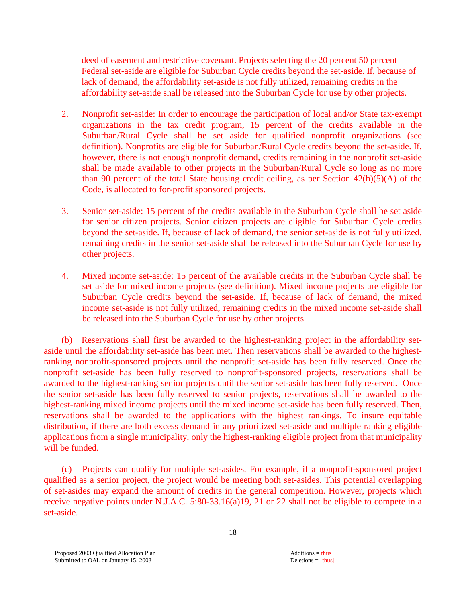deed of easement and restrictive covenant. Projects selecting the 20 percent 50 percent Federal set-aside are eligible for Suburban Cycle credits beyond the set-aside. If, because of lack of demand, the affordability set-aside is not fully utilized, remaining credits in the affordability set-aside shall be released into the Suburban Cycle for use by other projects.

- 2. Nonprofit set-aside: In order to encourage the participation of local and/or State tax-exempt organizations in the tax credit program, 15 percent of the credits available in the Suburban/Rural Cycle shall be set aside for qualified nonprofit organizations (see definition). Nonprofits are eligible for Suburban/Rural Cycle credits beyond the set-aside. If, however, there is not enough nonprofit demand, credits remaining in the nonprofit set-aside shall be made available to other projects in the Suburban/Rural Cycle so long as no more than 90 percent of the total State housing credit ceiling, as per Section 42(h)(5)(A) of the Code, is allocated to for-profit sponsored projects.
- 3. Senior set-aside: 15 percent of the credits available in the Suburban Cycle shall be set aside for senior citizen projects. Senior citizen projects are eligible for Suburban Cycle credits beyond the set-aside. If, because of lack of demand, the senior set-aside is not fully utilized, remaining credits in the senior set-aside shall be released into the Suburban Cycle for use by other projects.
- 4. Mixed income set-aside: 15 percent of the available credits in the Suburban Cycle shall be set aside for mixed income projects (see definition). Mixed income projects are eligible for Suburban Cycle credits beyond the set-aside. If, because of lack of demand, the mixed income set-aside is not fully utilized, remaining credits in the mixed income set-aside shall be released into the Suburban Cycle for use by other projects.

 (b) Reservations shall first be awarded to the highest-ranking project in the affordability setaside until the affordability set-aside has been met. Then reservations shall be awarded to the highestranking nonprofit-sponsored projects until the nonprofit set-aside has been fully reserved. Once the nonprofit set-aside has been fully reserved to nonprofit-sponsored projects, reservations shall be awarded to the highest-ranking senior projects until the senior set-aside has been fully reserved. Once the senior set-aside has been fully reserved to senior projects, reservations shall be awarded to the highest-ranking mixed income projects until the mixed income set-aside has been fully reserved. Then, reservations shall be awarded to the applications with the highest rankings. To insure equitable distribution, if there are both excess demand in any prioritized set-aside and multiple ranking eligible applications from a single municipality, only the highest-ranking eligible project from that municipality will be funded.

 (c) Projects can qualify for multiple set-asides. For example, if a nonprofit-sponsored project qualified as a senior project, the project would be meeting both set-asides. This potential overlapping of set-asides may expand the amount of credits in the general competition. However, projects which receive negative points under N.J.A.C. 5:80-33.16(a)19, 21 or 22 shall not be eligible to compete in a set-aside.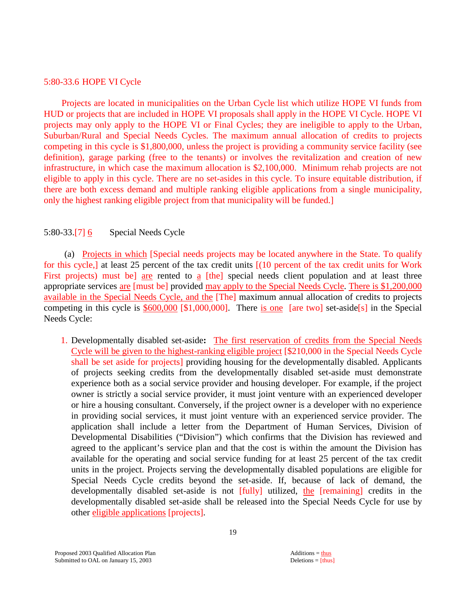#### 5:80-33.6 HOPE VI Cycle

 Projects are located in municipalities on the Urban Cycle list which utilize HOPE VI funds from HUD or projects that are included in HOPE VI proposals shall apply in the HOPE VI Cycle. HOPE VI projects may only apply to the HOPE VI or Final Cycles; they are ineligible to apply to the Urban, Suburban/Rural and Special Needs Cycles. The maximum annual allocation of credits to projects competing in this cycle is \$1,800,000, unless the project is providing a community service facility (see definition), garage parking (free to the tenants) or involves the revitalization and creation of new infrastructure, in which case the maximum allocation is \$2,100,000. Minimum rehab projects are not eligible to apply in this cycle. There are no set-asides in this cycle. To insure equitable distribution, if there are both excess demand and multiple ranking eligible applications from a single municipality, only the highest ranking eligible project from that municipality will be funded.]

#### 5:80-33.[7] 6Special Needs Cycle

 (a) Projects in which [Special needs projects may be located anywhere in the State. To qualify for this cycle,] at least 25 percent of the tax credit units [(10 percent of the tax credit units for Work First projects) must be] are rented to a [the] special needs client population and at least three appropriate services are [must be] provided may apply to the Special Needs Cycle. There is \$1,200,000 available in the Special Needs Cycle, and the [The] maximum annual allocation of credits to projects competing in this cycle is \$600,000 [\$1,000,000]. There is one [are two] set-aside[s] in the Special Needs Cycle:

1. Developmentally disabled set-aside**:** The first reservation of credits from the Special Needs Cycle will be given to the highest-ranking eligible project [\$210,000 in the Special Needs Cycle shall be set aside for projects] providing housing for the developmentally disabled. Applicants of projects seeking credits from the developmentally disabled set-aside must demonstrate experience both as a social service provider and housing developer. For example, if the project owner is strictly a social service provider, it must joint venture with an experienced developer or hire a housing consultant. Conversely, if the project owner is a developer with no experience in providing social services, it must joint venture with an experienced service provider. The application shall include a letter from the Department of Human Services, Division of Developmental Disabilities ("Division") which confirms that the Division has reviewed and agreed to the applicant's service plan and that the cost is within the amount the Division has available for the operating and social service funding for at least 25 percent of the tax credit units in the project. Projects serving the developmentally disabled populations are eligible for Special Needs Cycle credits beyond the set-aside. If, because of lack of demand, the developmentally disabled set-aside is not [fully] utilized, the [remaining] credits in the developmentally disabled set-aside shall be released into the Special Needs Cycle for use by other eligible applications [projects].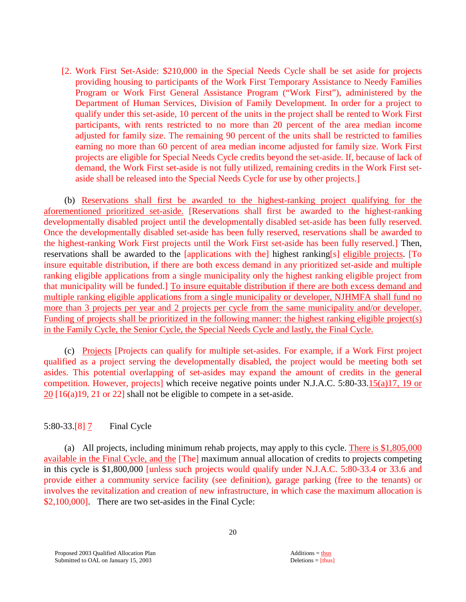[2. Work First Set-Aside: \$210,000 in the Special Needs Cycle shall be set aside for projects providing housing to participants of the Work First Temporary Assistance to Needy Families Program or Work First General Assistance Program ("Work First"), administered by the Department of Human Services, Division of Family Development. In order for a project to qualify under this set-aside, 10 percent of the units in the project shall be rented to Work First participants, with rents restricted to no more than 20 percent of the area median income adjusted for family size. The remaining 90 percent of the units shall be restricted to families earning no more than 60 percent of area median income adjusted for family size. Work First projects are eligible for Special Needs Cycle credits beyond the set-aside. If, because of lack of demand, the Work First set-aside is not fully utilized, remaining credits in the Work First setaside shall be released into the Special Needs Cycle for use by other projects.]

 (b) Reservations shall first be awarded to the highest-ranking project qualifying for the aforementioned prioritized set-aside. [Reservations shall first be awarded to the highest-ranking developmentally disabled project until the developmentally disabled set-aside has been fully reserved. Once the developmentally disabled set-aside has been fully reserved, reservations shall be awarded to the highest-ranking Work First projects until the Work First set-aside has been fully reserved.] Then, reservations shall be awarded to the [applications with the] highest ranking[s] eligible projects. [To insure equitable distribution, if there are both excess demand in any prioritized set-aside and multiple ranking eligible applications from a single municipality only the highest ranking eligible project from that municipality will be funded.] To insure equitable distribution if there are both excess demand and multiple ranking eligible applications from a single municipality or developer, NJHMFA shall fund no more than 3 projects per year and 2 projects per cycle from the same municipality and/or developer. Funding of projects shall be prioritized in the following manner: the highest ranking eligible project(s) in the Family Cycle, the Senior Cycle, the Special Needs Cycle and lastly, the Final Cycle.

(c) Projects [Projects can qualify for multiple set-asides. For example, if a Work First project qualified as a project serving the developmentally disabled, the project would be meeting both set asides. This potential overlapping of set-asides may expand the amount of credits in the general competition. However, projects] which receive negative points under N.J.A.C. 5:80-33.15(a)17, 19 or 20 [16(a)19, 21 or 22] shall not be eligible to compete in a set-aside.

#### 5:80-33.[8] 7 Final Cycle

 (a) All projects, including minimum rehab projects, may apply to this cycle. There is \$1,805,000 available in the Final Cycle, and the [The] maximum annual allocation of credits to projects competing in this cycle is \$1,800,000 [unless such projects would qualify under N.J.A.C. 5:80-33.4 or 33.6 and provide either a community service facility (see definition), garage parking (free to the tenants) or involves the revitalization and creation of new infrastructure, in which case the maximum allocation is \$2,100,000]. There are two set-asides in the Final Cycle: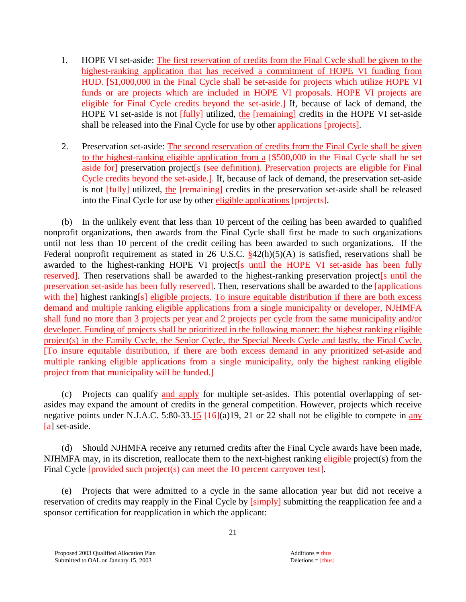- 1. HOPE VI set-aside: The first reservation of credits from the Final Cycle shall be given to the highest-ranking application that has received a commitment of HOPE VI funding from HUD. [\$1,000,000 in the Final Cycle shall be set-aside for projects which utilize HOPE VI funds or are projects which are included in HOPE VI proposals. HOPE VI projects are eligible for Final Cycle credits beyond the set-aside.] If, because of lack of demand, the HOPE VI set-aside is not [fully] utilized, the [remaining] credits in the HOPE VI set-aside shall be released into the Final Cycle for use by other applications [projects].
- 2. Preservation set-aside: The second reservation of credits from the Final Cycle shall be given to the highest-ranking eligible application from a [\$500,000 in the Final Cycle shall be set aside for] preservation project[s (see definition). Preservation projects are eligible for Final Cycle credits beyond the set-aside.]. If, because of lack of demand, the preservation set-aside is not [fully] utilized, the [remaining] credits in the preservation set-aside shall be released into the Final Cycle for use by other eligible applications [projects].

 (b) In the unlikely event that less than 10 percent of the ceiling has been awarded to qualified nonprofit organizations, then awards from the Final Cycle shall first be made to such organizations until not less than 10 percent of the credit ceiling has been awarded to such organizations. If the Federal nonprofit requirement as stated in 26 U.S.C.  $\frac{842(h)(5)(A)}{842(h)(5)(A)}$  is satisfied, reservations shall be awarded to the highest-ranking HOPE VI project[s until the HOPE VI set-aside has been fully reserved]. Then reservations shall be awarded to the highest-ranking preservation project<sup>[s until the</sup> preservation set-aside has been fully reserved]. Then, reservations shall be awarded to the [applications with the] highest ranking[s] eligible projects. To insure equitable distribution if there are both excess demand and multiple ranking eligible applications from a single municipality or developer, NJHMFA shall fund no more than 3 projects per year and 2 projects per cycle from the same municipality and/or developer. Funding of projects shall be prioritized in the following manner: the highest ranking eligible project(s) in the Family Cycle, the Senior Cycle, the Special Needs Cycle and lastly, the Final Cycle. [To insure equitable distribution, if there are both excess demand in any prioritized set-aside and multiple ranking eligible applications from a single municipality, only the highest ranking eligible project from that municipality will be funded.]

 (c) Projects can qualify and apply for multiple set-asides. This potential overlapping of setasides may expand the amount of credits in the general competition. However, projects which receive negative points under N.J.A.C. 5:80-33.15  $[16](a)19$ , 21 or 22 shall not be eligible to compete in any [a] set-aside.

(d) Should NJHMFA receive any returned credits after the Final Cycle awards have been made, NJHMFA may, in its discretion, reallocate them to the next-highest ranking eligible project(s) from the Final Cycle *[provided such project(s]* can meet the 10 percent carryover test].

(e) Projects that were admitted to a cycle in the same allocation year but did not receive a reservation of credits may reapply in the Final Cycle by [simply] submitting the reapplication fee and a sponsor certification for reapplication in which the applicant: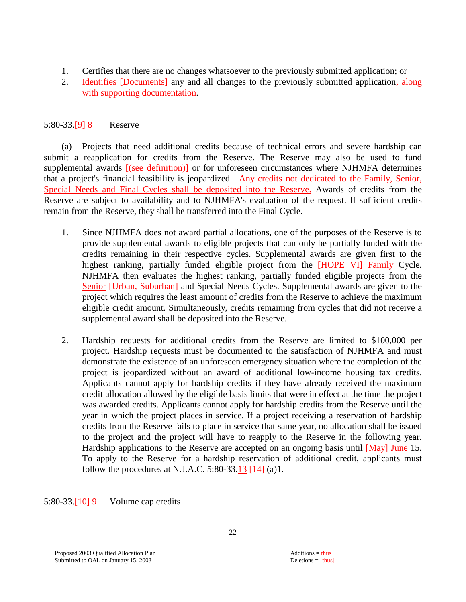- 1. Certifies that there are no changes whatsoever to the previously submitted application; or
- 2. Identifies [Documents] any and all changes to the previously submitted application, along with supporting documentation.

# 5:80-33.[9] 8 Reserve

 (a) Projects that need additional credits because of technical errors and severe hardship can submit a reapplication for credits from the Reserve. The Reserve may also be used to fund supplemental awards [(see definition)] or for unforeseen circumstances where NJHMFA determines that a project's financial feasibility is jeopardized. Any credits not dedicated to the Family, Senior, Special Needs and Final Cycles shall be deposited into the Reserve. Awards of credits from the Reserve are subject to availability and to NJHMFA's evaluation of the request. If sufficient credits remain from the Reserve, they shall be transferred into the Final Cycle.

- 1. Since NJHMFA does not award partial allocations, one of the purposes of the Reserve is to provide supplemental awards to eligible projects that can only be partially funded with the credits remaining in their respective cycles. Supplemental awards are given first to the highest ranking, partially funded eligible project from the [HOPE VI] Family Cycle. NJHMFA then evaluates the highest ranking, partially funded eligible projects from the Senior [Urban, Suburban] and Special Needs Cycles. Supplemental awards are given to the project which requires the least amount of credits from the Reserve to achieve the maximum eligible credit amount. Simultaneously, credits remaining from cycles that did not receive a supplemental award shall be deposited into the Reserve.
- 2. Hardship requests for additional credits from the Reserve are limited to \$100,000 per project. Hardship requests must be documented to the satisfaction of NJHMFA and must demonstrate the existence of an unforeseen emergency situation where the completion of the project is jeopardized without an award of additional low-income housing tax credits. Applicants cannot apply for hardship credits if they have already received the maximum credit allocation allowed by the eligible basis limits that were in effect at the time the project was awarded credits. Applicants cannot apply for hardship credits from the Reserve until the year in which the project places in service. If a project receiving a reservation of hardship credits from the Reserve fails to place in service that same year, no allocation shall be issued to the project and the project will have to reapply to the Reserve in the following year. Hardship applications to the Reserve are accepted on an ongoing basis until [May] June 15. To apply to the Reserve for a hardship reservation of additional credit, applicants must follow the procedures at N.J.A.C.  $5:80-33.13$  [14] (a)1.

5:80-33.[10] 9 Volume cap credits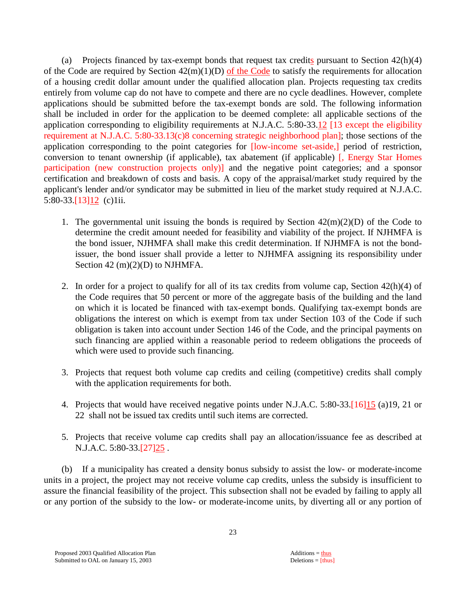(a) Projects financed by tax-exempt bonds that request tax credits pursuant to Section  $42(h)(4)$ of the Code are required by Section  $42(m)(1)(D)$  of the Code to satisfy the requirements for allocation of a housing credit dollar amount under the qualified allocation plan. Projects requesting tax credits entirely from volume cap do not have to compete and there are no cycle deadlines. However, complete applications should be submitted before the tax-exempt bonds are sold. The following information shall be included in order for the application to be deemed complete: all applicable sections of the application corresponding to eligibility requirements at N.J.A.C. 5:80-33.12 [13 except the eligibility requirement at N.J.A.C. 5:80-33.13(c)8 concerning strategic neighborhood plan]; those sections of the application corresponding to the point categories for [low-income set-aside,] period of restriction, conversion to tenant ownership (if applicable), tax abatement (if applicable) [, Energy Star Homes participation (new construction projects only)] and the negative point categories; and a sponsor certification and breakdown of costs and basis. A copy of the appraisal/market study required by the applicant's lender and/or syndicator may be submitted in lieu of the market study required at N.J.A.C. 5:80-33.[13]12 (c)1ii.

- 1. The governmental unit issuing the bonds is required by Section  $42(m)(2)(D)$  of the Code to determine the credit amount needed for feasibility and viability of the project. If NJHMFA is the bond issuer, NJHMFA shall make this credit determination. If NJHMFA is not the bondissuer, the bond issuer shall provide a letter to NJHMFA assigning its responsibility under Section 42 (m)(2)(D) to NJHMFA.
- 2. In order for a project to qualify for all of its tax credits from volume cap, Section  $42(h)(4)$  of the Code requires that 50 percent or more of the aggregate basis of the building and the land on which it is located be financed with tax-exempt bonds. Qualifying tax-exempt bonds are obligations the interest on which is exempt from tax under Section 103 of the Code if such obligation is taken into account under Section 146 of the Code, and the principal payments on such financing are applied within a reasonable period to redeem obligations the proceeds of which were used to provide such financing.
- 3. Projects that request both volume cap credits and ceiling (competitive) credits shall comply with the application requirements for both.
- 4. Projects that would have received negative points under N.J.A.C. 5:80-33.[16]15 (a)19, 21 or 22 shall not be issued tax credits until such items are corrected.
- 5. Projects that receive volume cap credits shall pay an allocation/issuance fee as described at N.J.A.C. 5:80-33.[27] 25.

 (b) If a municipality has created a density bonus subsidy to assist the low- or moderate-income units in a project, the project may not receive volume cap credits, unless the subsidy is insufficient to assure the financial feasibility of the project. This subsection shall not be evaded by failing to apply all or any portion of the subsidy to the low- or moderate-income units, by diverting all or any portion of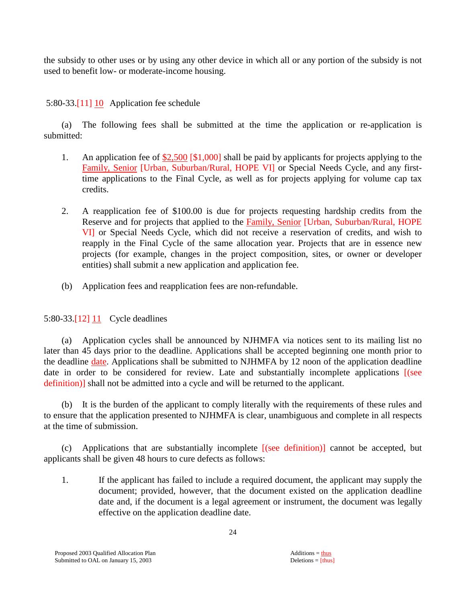the subsidy to other uses or by using any other device in which all or any portion of the subsidy is not used to benefit low- or moderate-income housing.

# 5:80-33.[11] 10 Application fee schedule

 (a) The following fees shall be submitted at the time the application or re-application is submitted:

- 1. An application fee of  $$2,500$  [\$1,000] shall be paid by applicants for projects applying to the Family, Senior [Urban, Suburban/Rural, HOPE VI] or Special Needs Cycle, and any firsttime applications to the Final Cycle, as well as for projects applying for volume cap tax credits.
- 2. A reapplication fee of \$100.00 is due for projects requesting hardship credits from the Reserve and for projects that applied to the Family, Senior [Urban, Suburban/Rural, HOPE VI] or Special Needs Cycle, which did not receive a reservation of credits, and wish to reapply in the Final Cycle of the same allocation year. Projects that are in essence new projects (for example, changes in the project composition, sites, or owner or developer entities) shall submit a new application and application fee.
- (b) Application fees and reapplication fees are non-refundable.

# 5:80-33.[12] 11 Cycle deadlines

 (a) Application cycles shall be announced by NJHMFA via notices sent to its mailing list no later than 45 days prior to the deadline. Applications shall be accepted beginning one month prior to the deadline date. Applications shall be submitted to NJHMFA by 12 noon of the application deadline date in order to be considered for review. Late and substantially incomplete applications  $[$ (see definition)] shall not be admitted into a cycle and will be returned to the applicant.

 (b) It is the burden of the applicant to comply literally with the requirements of these rules and to ensure that the application presented to NJHMFA is clear, unambiguous and complete in all respects at the time of submission.

 (c) Applications that are substantially incomplete [(see definition)] cannot be accepted, but applicants shall be given 48 hours to cure defects as follows:

 1. If the applicant has failed to include a required document, the applicant may supply the document; provided, however, that the document existed on the application deadline date and, if the document is a legal agreement or instrument, the document was legally effective on the application deadline date.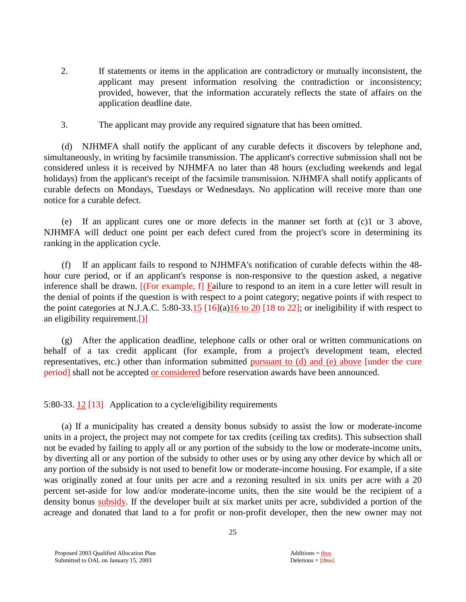- 2. If statements or items in the application are contradictory or mutually inconsistent, the applicant may present information resolving the contradiction or inconsistency; provided, however, that the information accurately reflects the state of affairs on the application deadline date.
- 3. The applicant may provide any required signature that has been omitted.

 (d) NJHMFA shall notify the applicant of any curable defects it discovers by telephone and, simultaneously, in writing by facsimile transmission. The applicant's corrective submission shall not be considered unless it is received by NJHMFA no later than 48 hours (excluding weekends and legal holidays) from the applicant's receipt of the facsimile transmission. NJHMFA shall notify applicants of curable defects on Mondays, Tuesdays or Wednesdays. No application will receive more than one notice for a curable defect.

 (e) If an applicant cures one or more defects in the manner set forth at (c)1 or 3 above, NJHMFA will deduct one point per each defect cured from the project's score in determining its ranking in the application cycle.

 (f) If an applicant fails to respond to NJHMFA's notification of curable defects within the 48 hour cure period, or if an applicant's response is non-responsive to the question asked, a negative inference shall be drawn. [(For example, f] Failure to respond to an item in a cure letter will result in the denial of points if the question is with respect to a point category; negative points if with respect to the point categories at N.J.A.C. 5:80-33.15  $[16](a)16$  to 20  $[18]$  to 22]; or ineligibility if with respect to an eligibility requirement.[)]

 (g) After the application deadline, telephone calls or other oral or written communications on behalf of a tax credit applicant (for example, from a project's development team, elected representatives, etc.) other than information submitted pursuant to (d) and (e) above [under the cure period] shall not be accepted or considered before reservation awards have been announced.

5:80-33. 12 [13] Application to a cycle/eligibility requirements

 (a) If a municipality has created a density bonus subsidy to assist the low or moderate-income units in a project, the project may not compete for tax credits (ceiling tax credits). This subsection shall not be evaded by failing to apply all or any portion of the subsidy to the low or moderate-income units, by diverting all or any portion of the subsidy to other uses or by using any other device by which all or any portion of the subsidy is not used to benefit low or moderate-income housing. For example, if a site was originally zoned at four units per acre and a rezoning resulted in six units per acre with a 20 percent set-aside for low and/or moderate-income units, then the site would be the recipient of a density bonus subsidy. If the developer built at six market units per acre, subdivided a portion of the acreage and donated that land to a for profit or non-profit developer, then the new owner may not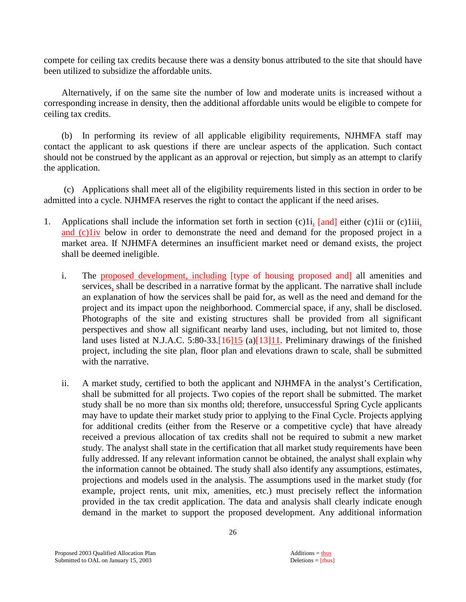compete for ceiling tax credits because there was a density bonus attributed to the site that should have been utilized to subsidize the affordable units.

 Alternatively, if on the same site the number of low and moderate units is increased without a corresponding increase in density, then the additional affordable units would be eligible to compete for ceiling tax credits.

 (b) In performing its review of all applicable eligibility requirements, NJHMFA staff may contact the applicant to ask questions if there are unclear aspects of the application. Such contact should not be construed by the applicant as an approval or rejection, but simply as an attempt to clarify the application.

 (c) Applications shall meet all of the eligibility requirements listed in this section in order to be admitted into a cycle. NJHMFA reserves the right to contact the applicant if the need arises.

- 1. Applications shall include the information set forth in section (c)1i, [and] either (c)1ii or (c)1iii, and (c)1iv below in order to demonstrate the need and demand for the proposed project in a market area. If NJHMFA determines an insufficient market need or demand exists, the project shall be deemed ineligible.
	- i. The proposed development, including [type of housing proposed and] all amenities and services, shall be described in a narrative format by the applicant. The narrative shall include an explanation of how the services shall be paid for, as well as the need and demand for the project and its impact upon the neighborhood. Commercial space, if any, shall be disclosed. Photographs of the site and existing structures shall be provided from all significant perspectives and show all significant nearby land uses, including, but not limited to, those land uses listed at N.J.A.C. 5:80-33.[16]15 (a)[13]11. Preliminary drawings of the finished project, including the site plan, floor plan and elevations drawn to scale, shall be submitted with the narrative.
	- ii. A market study, certified to both the applicant and NJHMFA in the analyst's Certification, shall be submitted for all projects. Two copies of the report shall be submitted. The market study shall be no more than six months old; therefore, unsuccessful Spring Cycle applicants may have to update their market study prior to applying to the Final Cycle. Projects applying for additional credits (either from the Reserve or a competitive cycle) that have already received a previous allocation of tax credits shall not be required to submit a new market study. The analyst shall state in the certification that all market study requirements have been fully addressed. If any relevant information cannot be obtained, the analyst shall explain why the information cannot be obtained. The study shall also identify any assumptions, estimates, projections and models used in the analysis. The assumptions used in the market study (for example, project rents, unit mix, amenities, etc.) must precisely reflect the information provided in the tax credit application. The data and analysis shall clearly indicate enough demand in the market to support the proposed development. Any additional information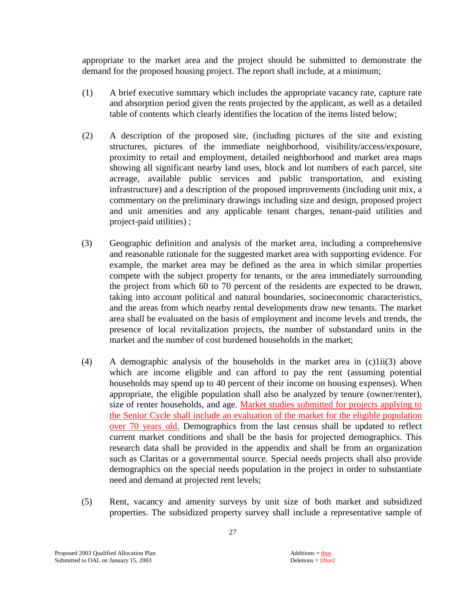appropriate to the market area and the project should be submitted to demonstrate the demand for the proposed housing project. The report shall include, at a minimum;

- (1) A brief executive summary which includes the appropriate vacancy rate, capture rate and absorption period given the rents projected by the applicant, as well as a detailed table of contents which clearly identifies the location of the items listed below;
- (2) A description of the proposed site, (including pictures of the site and existing structures, pictures of the immediate neighborhood, visibility/access/exposure, proximity to retail and employment, detailed neighborhood and market area maps showing all significant nearby land uses, block and lot numbers of each parcel, site acreage, available public services and public transportation, and existing infrastructure) and a description of the proposed improvements (including unit mix, a commentary on the preliminary drawings including size and design, proposed project and unit amenities and any applicable tenant charges, tenant-paid utilities and project-paid utilities) ;
- (3) Geographic definition and analysis of the market area, including a comprehensive and reasonable rationale for the suggested market area with supporting evidence. For example, the market area may be defined as the area in which similar properties compete with the subject property for tenants, or the area immediately surrounding the project from which 60 to 70 percent of the residents are expected to be drawn, taking into account political and natural boundaries, socioeconomic characteristics, and the areas from which nearby rental developments draw new tenants. The market area shall be evaluated on the basis of employment and income levels and trends, the presence of local revitalization projects, the number of substandard units in the market and the number of cost burdened households in the market;
- (4) A demographic analysis of the households in the market area in  $(c)1ii(3)$  above which are income eligible and can afford to pay the rent (assuming potential households may spend up to 40 percent of their income on housing expenses). When appropriate, the eligible population shall also be analyzed by tenure (owner/renter), size of renter households, and age. Market studies submitted for projects applying to the Senior Cycle shall include an evaluation of the market for the eligible population over 70 years old. Demographics from the last census shall be updated to reflect current market conditions and shall be the basis for projected demographics. This research data shall be provided in the appendix and shall be from an organization such as Claritas or a governmental source. Special needs projects shall also provide demographics on the special needs population in the project in order to substantiate need and demand at projected rent levels;
- (5) Rent, vacancy and amenity surveys by unit size of both market and subsidized properties. The subsidized property survey shall include a representative sample of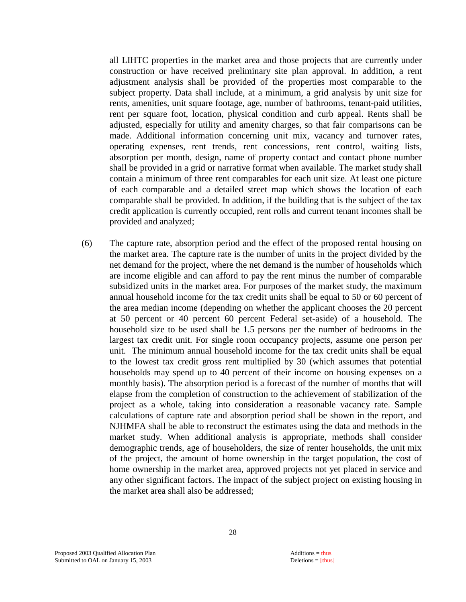all LIHTC properties in the market area and those projects that are currently under construction or have received preliminary site plan approval. In addition, a rent adjustment analysis shall be provided of the properties most comparable to the subject property. Data shall include, at a minimum, a grid analysis by unit size for rents, amenities, unit square footage, age, number of bathrooms, tenant-paid utilities, rent per square foot, location, physical condition and curb appeal. Rents shall be adjusted, especially for utility and amenity charges, so that fair comparisons can be made. Additional information concerning unit mix, vacancy and turnover rates, operating expenses, rent trends, rent concessions, rent control, waiting lists, absorption per month, design, name of property contact and contact phone number shall be provided in a grid or narrative format when available. The market study shall contain a minimum of three rent comparables for each unit size. At least one picture of each comparable and a detailed street map which shows the location of each comparable shall be provided. In addition, if the building that is the subject of the tax credit application is currently occupied, rent rolls and current tenant incomes shall be provided and analyzed;

(6) The capture rate, absorption period and the effect of the proposed rental housing on the market area. The capture rate is the number of units in the project divided by the net demand for the project, where the net demand is the number of households which are income eligible and can afford to pay the rent minus the number of comparable subsidized units in the market area. For purposes of the market study, the maximum annual household income for the tax credit units shall be equal to 50 or 60 percent of the area median income (depending on whether the applicant chooses the 20 percent at 50 percent or 40 percent 60 percent Federal set-aside) of a household. The household size to be used shall be 1.5 persons per the number of bedrooms in the largest tax credit unit. For single room occupancy projects, assume one person per unit. The minimum annual household income for the tax credit units shall be equal to the lowest tax credit gross rent multiplied by 30 (which assumes that potential households may spend up to 40 percent of their income on housing expenses on a monthly basis). The absorption period is a forecast of the number of months that will elapse from the completion of construction to the achievement of stabilization of the project as a whole, taking into consideration a reasonable vacancy rate. Sample calculations of capture rate and absorption period shall be shown in the report, and NJHMFA shall be able to reconstruct the estimates using the data and methods in the market study. When additional analysis is appropriate, methods shall consider demographic trends, age of householders, the size of renter households, the unit mix of the project, the amount of home ownership in the target population, the cost of home ownership in the market area, approved projects not yet placed in service and any other significant factors. The impact of the subject project on existing housing in the market area shall also be addressed;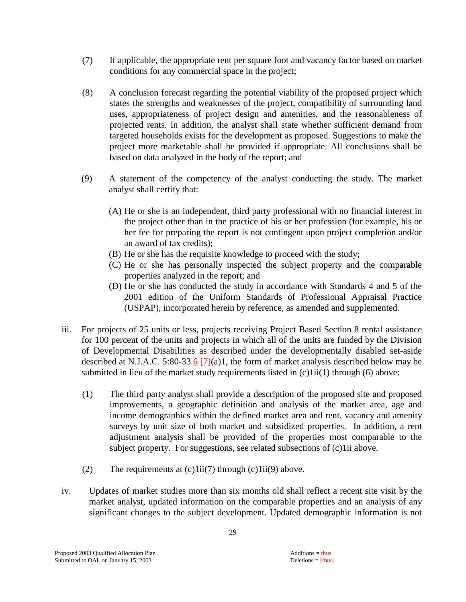- (7) If applicable, the appropriate rent per square foot and vacancy factor based on market conditions for any commercial space in the project;
- (8) A conclusion forecast regarding the potential viability of the proposed project which states the strengths and weaknesses of the project, compatibility of surrounding land uses, appropriateness of project design and amenities, and the reasonableness of projected rents. In addition, the analyst shall state whether sufficient demand from targeted households exists for the development as proposed. Suggestions to make the project more marketable shall be provided if appropriate. All conclusions shall be based on data analyzed in the body of the report; and
- (9) A statement of the competency of the analyst conducting the study. The market analyst shall certify that:
	- (A) He or she is an independent, third party professional with no financial interest in the project other than in the practice of his or her profession (for example, his or her fee for preparing the report is not contingent upon project completion and/or an award of tax credits);
	- (B) He or she has the requisite knowledge to proceed with the study;
	- (C) He or she has personally inspected the subject property and the comparable properties analyzed in the report; and
	- (D) He or she has conducted the study in accordance with Standards 4 and 5 of the 2001 edition of the Uniform Standards of Professional Appraisal Practice (USPAP), incorporated herein by reference, as amended and supplemented.
- iii. For projects of 25 units or less, projects receiving Project Based Section 8 rental assistance for 100 percent of the units and projects in which all of the units are funded by the Division of Developmental Disabilities as described under the developmentally disabled set-aside described at N.J.A.C. 5:80-33.6 [7](a)1, the form of market analysis described below may be submitted in lieu of the market study requirements listed in (c)1ii(1) through (6) above:
	- (1) The third party analyst shall provide a description of the proposed site and proposed improvements, a geographic definition and analysis of the market area, age and income demographics within the defined market area and rent, vacancy and amenity surveys by unit size of both market and subsidized properties. In addition, a rent adjustment analysis shall be provided of the properties most comparable to the subject property. For suggestions, see related subsections of (c)1ii above.
	- (2) The requirements at  $(c)1ii(7)$  through  $(c)1ii(9)$  above.
- iv. Updates of market studies more than six months old shall reflect a recent site visit by the market analyst, updated information on the comparable properties and an analysis of any significant changes to the subject development. Updated demographic information is not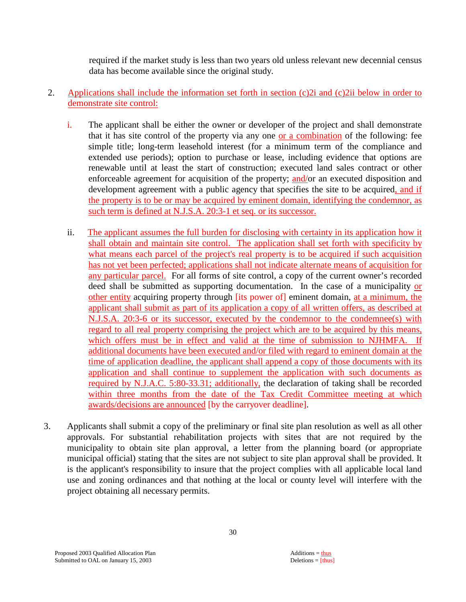required if the market study is less than two years old unless relevant new decennial census data has become available since the original study.

- 2. Applications shall include the information set forth in section (c)2i and (c)2ii below in order to demonstrate site control:
	- i. The applicant shall be either the owner or developer of the project and shall demonstrate that it has site control of the property via any one or a combination of the following: fee simple title; long-term leasehold interest (for a minimum term of the compliance and extended use periods); option to purchase or lease, including evidence that options are renewable until at least the start of construction; executed land sales contract or other enforceable agreement for acquisition of the property; and/or an executed disposition and development agreement with a public agency that specifies the site to be acquired, and if the property is to be or may be acquired by eminent domain, identifying the condemnor, as such term is defined at N.J.S.A. 20:3-1 et seq. or its successor.
	- ii. The applicant assumes the full burden for disclosing with certainty in its application how it shall obtain and maintain site control. The application shall set forth with specificity by what means each parcel of the project's real property is to be acquired if such acquisition has not yet been perfected; applications shall not indicate alternate means of acquisition for any particular parcel. For all forms of site control, a copy of the current owner's recorded deed shall be submitted as supporting documentation. In the case of a municipality or other entity acquiring property through [its power of] eminent domain, at a minimum, the applicant shall submit as part of its application a copy of all written offers, as described at N.J.S.A. 20:3-6 or its successor, executed by the condemnor to the condemnee(s) with regard to all real property comprising the project which are to be acquired by this means, which offers must be in effect and valid at the time of submission to NJHMFA. If additional documents have been executed and/or filed with regard to eminent domain at the time of application deadline, the applicant shall append a copy of those documents with its application and shall continue to supplement the application with such documents as required by N.J.A.C. 5:80-33.31; additionally, the declaration of taking shall be recorded within three months from the date of the Tax Credit Committee meeting at which awards/decisions are announced [by the carryover deadline].
- 3. Applicants shall submit a copy of the preliminary or final site plan resolution as well as all other approvals. For substantial rehabilitation projects with sites that are not required by the municipality to obtain site plan approval, a letter from the planning board (or appropriate municipal official) stating that the sites are not subject to site plan approval shall be provided. It is the applicant's responsibility to insure that the project complies with all applicable local land use and zoning ordinances and that nothing at the local or county level will interfere with the project obtaining all necessary permits.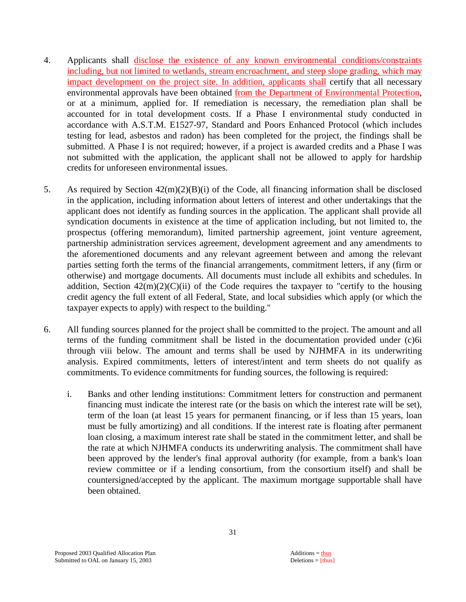- 4. Applicants shall disclose the existence of any known environmental conditions/constraints including, but not limited to wetlands, stream encroachment, and steep slope grading, which may impact development on the project site. In addition, applicants shall certify that all necessary environmental approvals have been obtained from the Department of Environmental Protection, or at a minimum, applied for. If remediation is necessary, the remediation plan shall be accounted for in total development costs. If a Phase I environmental study conducted in accordance with A.S.T.M. E1527-97, Standard and Poors Enhanced Protocol (which includes testing for lead, asbestos and radon) has been completed for the project, the findings shall be submitted. A Phase I is not required; however, if a project is awarded credits and a Phase I was not submitted with the application, the applicant shall not be allowed to apply for hardship credits for unforeseen environmental issues.
- 5. As required by Section 42(m)(2)(B)(i) of the Code, all financing information shall be disclosed in the application, including information about letters of interest and other undertakings that the applicant does not identify as funding sources in the application. The applicant shall provide all syndication documents in existence at the time of application including, but not limited to, the prospectus (offering memorandum), limited partnership agreement, joint venture agreement, partnership administration services agreement, development agreement and any amendments to the aforementioned documents and any relevant agreement between and among the relevant parties setting forth the terms of the financial arrangements, commitment letters, if any (firm or otherwise) and mortgage documents. All documents must include all exhibits and schedules. In addition, Section  $42(m)(2)(C)(ii)$  of the Code requires the taxpayer to "certify to the housing credit agency the full extent of all Federal, State, and local subsidies which apply (or which the taxpayer expects to apply) with respect to the building."
- 6. All funding sources planned for the project shall be committed to the project. The amount and all terms of the funding commitment shall be listed in the documentation provided under (c)6i through viii below. The amount and terms shall be used by NJHMFA in its underwriting analysis. Expired commitments, letters of interest/intent and term sheets do not qualify as commitments. To evidence commitments for funding sources, the following is required:
	- i. Banks and other lending institutions: Commitment letters for construction and permanent financing must indicate the interest rate (or the basis on which the interest rate will be set), term of the loan (at least 15 years for permanent financing, or if less than 15 years, loan must be fully amortizing) and all conditions. If the interest rate is floating after permanent loan closing, a maximum interest rate shall be stated in the commitment letter, and shall be the rate at which NJHMFA conducts its underwriting analysis. The commitment shall have been approved by the lender's final approval authority (for example, from a bank's loan review committee or if a lending consortium, from the consortium itself) and shall be countersigned/accepted by the applicant. The maximum mortgage supportable shall have been obtained.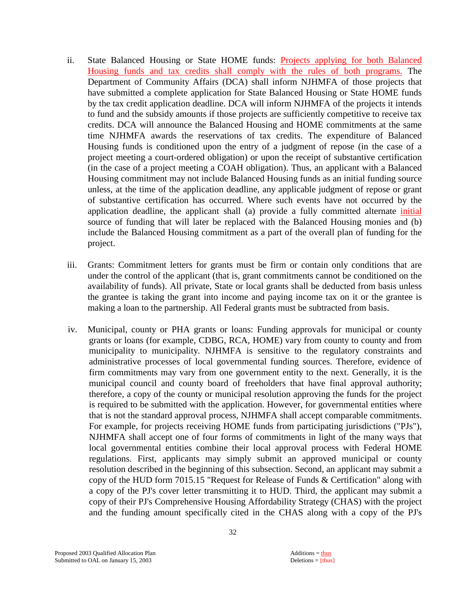- ii. State Balanced Housing or State HOME funds: **Projects applying for both Balanced** Housing funds and tax credits shall comply with the rules of both programs. The Department of Community Affairs (DCA) shall inform NJHMFA of those projects that have submitted a complete application for State Balanced Housing or State HOME funds by the tax credit application deadline. DCA will inform NJHMFA of the projects it intends to fund and the subsidy amounts if those projects are sufficiently competitive to receive tax credits. DCA will announce the Balanced Housing and HOME commitments at the same time NJHMFA awards the reservations of tax credits. The expenditure of Balanced Housing funds is conditioned upon the entry of a judgment of repose (in the case of a project meeting a court-ordered obligation) or upon the receipt of substantive certification (in the case of a project meeting a COAH obligation). Thus, an applicant with a Balanced Housing commitment may not include Balanced Housing funds as an initial funding source unless, at the time of the application deadline, any applicable judgment of repose or grant of substantive certification has occurred. Where such events have not occurred by the application deadline, the applicant shall (a) provide a fully committed alternate initial source of funding that will later be replaced with the Balanced Housing monies and (b) include the Balanced Housing commitment as a part of the overall plan of funding for the project.
- iii. Grants: Commitment letters for grants must be firm or contain only conditions that are under the control of the applicant (that is, grant commitments cannot be conditioned on the availability of funds). All private, State or local grants shall be deducted from basis unless the grantee is taking the grant into income and paying income tax on it or the grantee is making a loan to the partnership. All Federal grants must be subtracted from basis.
- iv. Municipal, county or PHA grants or loans: Funding approvals for municipal or county grants or loans (for example, CDBG, RCA, HOME) vary from county to county and from municipality to municipality. NJHMFA is sensitive to the regulatory constraints and administrative processes of local governmental funding sources. Therefore, evidence of firm commitments may vary from one government entity to the next. Generally, it is the municipal council and county board of freeholders that have final approval authority; therefore, a copy of the county or municipal resolution approving the funds for the project is required to be submitted with the application. However, for governmental entities where that is not the standard approval process, NJHMFA shall accept comparable commitments. For example, for projects receiving HOME funds from participating jurisdictions ("PJs"), NJHMFA shall accept one of four forms of commitments in light of the many ways that local governmental entities combine their local approval process with Federal HOME regulations. First, applicants may simply submit an approved municipal or county resolution described in the beginning of this subsection. Second, an applicant may submit a copy of the HUD form 7015.15 "Request for Release of Funds & Certification" along with a copy of the PJ's cover letter transmitting it to HUD. Third, the applicant may submit a copy of their PJ's Comprehensive Housing Affordability Strategy (CHAS) with the project and the funding amount specifically cited in the CHAS along with a copy of the PJ's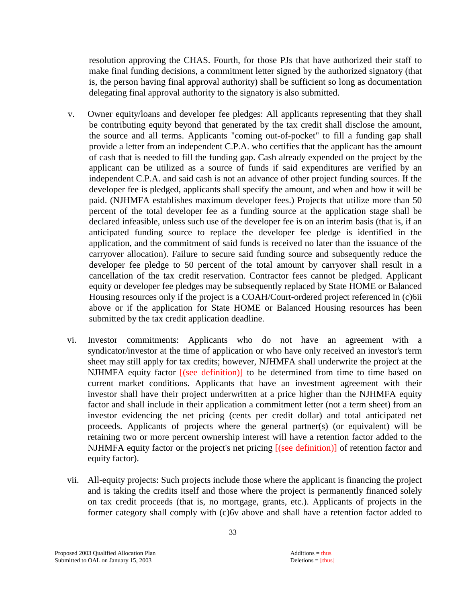resolution approving the CHAS. Fourth, for those PJs that have authorized their staff to make final funding decisions, a commitment letter signed by the authorized signatory (that is, the person having final approval authority) shall be sufficient so long as documentation delegating final approval authority to the signatory is also submitted.

- v. Owner equity/loans and developer fee pledges: All applicants representing that they shall be contributing equity beyond that generated by the tax credit shall disclose the amount, the source and all terms. Applicants "coming out-of-pocket" to fill a funding gap shall provide a letter from an independent C.P.A. who certifies that the applicant has the amount of cash that is needed to fill the funding gap. Cash already expended on the project by the applicant can be utilized as a source of funds if said expenditures are verified by an independent C.P.A. and said cash is not an advance of other project funding sources. If the developer fee is pledged, applicants shall specify the amount, and when and how it will be paid. (NJHMFA establishes maximum developer fees.) Projects that utilize more than 50 percent of the total developer fee as a funding source at the application stage shall be declared infeasible, unless such use of the developer fee is on an interim basis (that is, if an anticipated funding source to replace the developer fee pledge is identified in the application, and the commitment of said funds is received no later than the issuance of the carryover allocation). Failure to secure said funding source and subsequently reduce the developer fee pledge to 50 percent of the total amount by carryover shall result in a cancellation of the tax credit reservation. Contractor fees cannot be pledged. Applicant equity or developer fee pledges may be subsequently replaced by State HOME or Balanced Housing resources only if the project is a COAH/Court-ordered project referenced in (c)6ii above or if the application for State HOME or Balanced Housing resources has been submitted by the tax credit application deadline.
- vi. Investor commitments: Applicants who do not have an agreement with a syndicator/investor at the time of application or who have only received an investor's term sheet may still apply for tax credits; however, NJHMFA shall underwrite the project at the NJHMFA equity factor [(see definition)] to be determined from time to time based on current market conditions. Applicants that have an investment agreement with their investor shall have their project underwritten at a price higher than the NJHMFA equity factor and shall include in their application a commitment letter (not a term sheet) from an investor evidencing the net pricing (cents per credit dollar) and total anticipated net proceeds. Applicants of projects where the general partner(s) (or equivalent) will be retaining two or more percent ownership interest will have a retention factor added to the NJHMFA equity factor or the project's net pricing [(see definition)] of retention factor and equity factor).
- vii. All-equity projects: Such projects include those where the applicant is financing the project and is taking the credits itself and those where the project is permanently financed solely on tax credit proceeds (that is, no mortgage, grants, etc.). Applicants of projects in the former category shall comply with (c)6v above and shall have a retention factor added to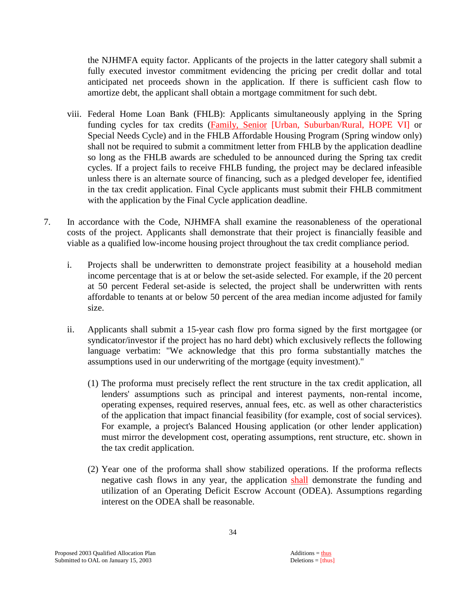the NJHMFA equity factor. Applicants of the projects in the latter category shall submit a fully executed investor commitment evidencing the pricing per credit dollar and total anticipated net proceeds shown in the application. If there is sufficient cash flow to amortize debt, the applicant shall obtain a mortgage commitment for such debt.

- viii. Federal Home Loan Bank (FHLB): Applicants simultaneously applying in the Spring funding cycles for tax credits (Family, Senior [Urban, Suburban/Rural, HOPE VI] or Special Needs Cycle) and in the FHLB Affordable Housing Program (Spring window only) shall not be required to submit a commitment letter from FHLB by the application deadline so long as the FHLB awards are scheduled to be announced during the Spring tax credit cycles. If a project fails to receive FHLB funding, the project may be declared infeasible unless there is an alternate source of financing, such as a pledged developer fee, identified in the tax credit application. Final Cycle applicants must submit their FHLB commitment with the application by the Final Cycle application deadline.
- 7. In accordance with the Code, NJHMFA shall examine the reasonableness of the operational costs of the project. Applicants shall demonstrate that their project is financially feasible and viable as a qualified low-income housing project throughout the tax credit compliance period.
	- i. Projects shall be underwritten to demonstrate project feasibility at a household median income percentage that is at or below the set-aside selected. For example, if the 20 percent at 50 percent Federal set-aside is selected, the project shall be underwritten with rents affordable to tenants at or below 50 percent of the area median income adjusted for family size.
	- ii. Applicants shall submit a 15-year cash flow pro forma signed by the first mortgagee (or syndicator/investor if the project has no hard debt) which exclusively reflects the following language verbatim: "We acknowledge that this pro forma substantially matches the assumptions used in our underwriting of the mortgage (equity investment)."
		- (1) The proforma must precisely reflect the rent structure in the tax credit application, all lenders' assumptions such as principal and interest payments, non-rental income, operating expenses, required reserves, annual fees, etc. as well as other characteristics of the application that impact financial feasibility (for example, cost of social services). For example, a project's Balanced Housing application (or other lender application) must mirror the development cost, operating assumptions, rent structure, etc. shown in the tax credit application.
		- (2) Year one of the proforma shall show stabilized operations. If the proforma reflects negative cash flows in any year, the application shall demonstrate the funding and utilization of an Operating Deficit Escrow Account (ODEA). Assumptions regarding interest on the ODEA shall be reasonable.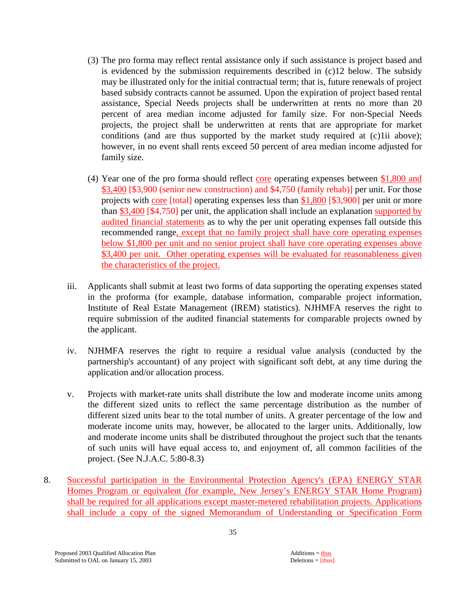- (3) The pro forma may reflect rental assistance only if such assistance is project based and is evidenced by the submission requirements described in (c)12 below. The subsidy may be illustrated only for the initial contractual term; that is, future renewals of project based subsidy contracts cannot be assumed. Upon the expiration of project based rental assistance, Special Needs projects shall be underwritten at rents no more than 20 percent of area median income adjusted for family size. For non-Special Needs projects, the project shall be underwritten at rents that are appropriate for market conditions (and are thus supported by the market study required at (c)1ii above); however, in no event shall rents exceed 50 percent of area median income adjusted for family size.
- (4) Year one of the pro forma should reflect  $\frac{\text{core}}{\text{core}}$  operating expenses between \$1,800 and \$3,400 [\$3,900 (senior new construction) and \$4,750 (family rehab)] per unit. For those projects with core [total] operating expenses less than \$1,800 [\$3,900] per unit or more than \$3,400 [\$4,750] per unit, the application shall include an explanation supported by audited financial statements as to why the per unit operating expenses fall outside this recommended range, except that no family project shall have core operating expenses below \$1,800 per unit and no senior project shall have core operating expenses above \$3,400 per unit. Other operating expenses will be evaluated for reasonableness given the characteristics of the project.
- iii. Applicants shall submit at least two forms of data supporting the operating expenses stated in the proforma (for example, database information, comparable project information, Institute of Real Estate Management (IREM) statistics). NJHMFA reserves the right to require submission of the audited financial statements for comparable projects owned by the applicant.
- iv. NJHMFA reserves the right to require a residual value analysis (conducted by the partnership's accountant) of any project with significant soft debt, at any time during the application and/or allocation process.
- v. Projects with market-rate units shall distribute the low and moderate income units among the different sized units to reflect the same percentage distribution as the number of different sized units bear to the total number of units. A greater percentage of the low and moderate income units may, however, be allocated to the larger units. Additionally, low and moderate income units shall be distributed throughout the project such that the tenants of such units will have equal access to, and enjoyment of, all common facilities of the project. (See N.J.A.C. 5:80-8.3)
- 8. Successful participation in the Environmental Protection Agency's (EPA) ENERGY STAR Homes Program or equivalent (for example, New Jersey's ENERGY STAR Home Program) shall be required for all applications except master-metered rehabilitation projects. Applications shall include a copy of the signed Memorandum of Understanding or Specification Form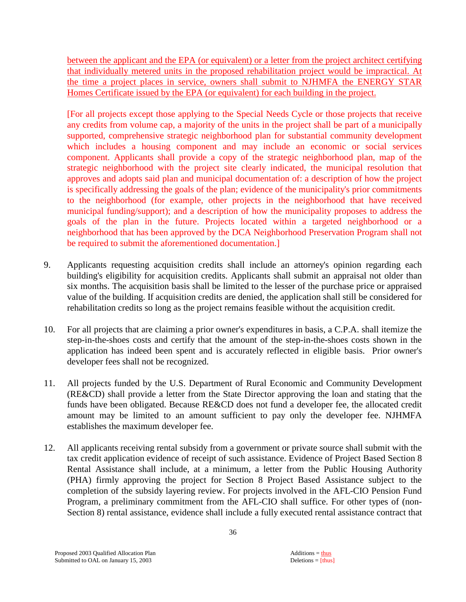between the applicant and the EPA (or equivalent) or a letter from the project architect certifying that individually metered units in the proposed rehabilitation project would be impractical. At the time a project places in service, owners shall submit to NJHMFA the ENERGY STAR Homes Certificate issued by the EPA (or equivalent) for each building in the project.

 [For all projects except those applying to the Special Needs Cycle or those projects that receive any credits from volume cap, a majority of the units in the project shall be part of a municipally supported, comprehensive strategic neighborhood plan for substantial community development which includes a housing component and may include an economic or social services component. Applicants shall provide a copy of the strategic neighborhood plan, map of the strategic neighborhood with the project site clearly indicated, the municipal resolution that approves and adopts said plan and municipal documentation of: a description of how the project is specifically addressing the goals of the plan; evidence of the municipality's prior commitments to the neighborhood (for example, other projects in the neighborhood that have received municipal funding/support); and a description of how the municipality proposes to address the goals of the plan in the future. Projects located within a targeted neighborhood or a neighborhood that has been approved by the DCA Neighborhood Preservation Program shall not be required to submit the aforementioned documentation.]

- 9. Applicants requesting acquisition credits shall include an attorney's opinion regarding each building's eligibility for acquisition credits. Applicants shall submit an appraisal not older than six months. The acquisition basis shall be limited to the lesser of the purchase price or appraised value of the building. If acquisition credits are denied, the application shall still be considered for rehabilitation credits so long as the project remains feasible without the acquisition credit.
- 10. For all projects that are claiming a prior owner's expenditures in basis, a C.P.A. shall itemize the step-in-the-shoes costs and certify that the amount of the step-in-the-shoes costs shown in the application has indeed been spent and is accurately reflected in eligible basis. Prior owner's developer fees shall not be recognized.
- 11. All projects funded by the U.S. Department of Rural Economic and Community Development (RE&CD) shall provide a letter from the State Director approving the loan and stating that the funds have been obligated. Because RE&CD does not fund a developer fee, the allocated credit amount may be limited to an amount sufficient to pay only the developer fee. NJHMFA establishes the maximum developer fee.
- 12. All applicants receiving rental subsidy from a government or private source shall submit with the tax credit application evidence of receipt of such assistance. Evidence of Project Based Section 8 Rental Assistance shall include, at a minimum, a letter from the Public Housing Authority (PHA) firmly approving the project for Section 8 Project Based Assistance subject to the completion of the subsidy layering review. For projects involved in the AFL-CIO Pension Fund Program, a preliminary commitment from the AFL-CIO shall suffice. For other types of (non-Section 8) rental assistance, evidence shall include a fully executed rental assistance contract that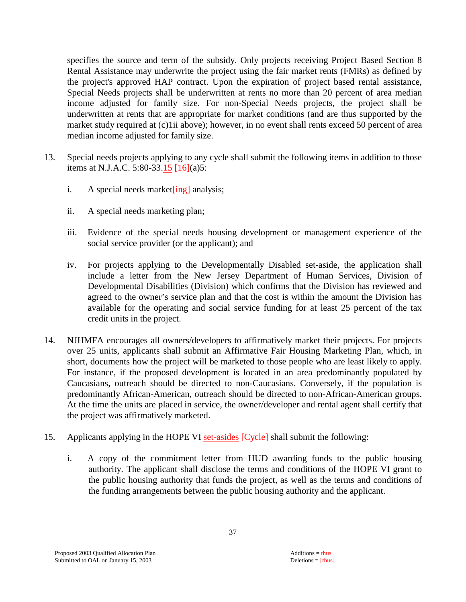specifies the source and term of the subsidy. Only projects receiving Project Based Section 8 Rental Assistance may underwrite the project using the fair market rents (FMRs) as defined by the project's approved HAP contract. Upon the expiration of project based rental assistance, Special Needs projects shall be underwritten at rents no more than 20 percent of area median income adjusted for family size. For non-Special Needs projects, the project shall be underwritten at rents that are appropriate for market conditions (and are thus supported by the market study required at (c)1ii above); however, in no event shall rents exceed 50 percent of area median income adjusted for family size.

- 13. Special needs projects applying to any cycle shall submit the following items in addition to those items at N.J.A.C. 5:80-33.15 [16](a)5:
	- i. A special needs market  $\lceil \frac{\text{ing}}{\text{ang}} \rceil$  analysis;
	- ii. A special needs marketing plan;
	- iii. Evidence of the special needs housing development or management experience of the social service provider (or the applicant); and
	- iv. For projects applying to the Developmentally Disabled set-aside, the application shall include a letter from the New Jersey Department of Human Services, Division of Developmental Disabilities (Division) which confirms that the Division has reviewed and agreed to the owner's service plan and that the cost is within the amount the Division has available for the operating and social service funding for at least 25 percent of the tax credit units in the project.
- 14. NJHMFA encourages all owners/developers to affirmatively market their projects. For projects over 25 units, applicants shall submit an Affirmative Fair Housing Marketing Plan, which, in short, documents how the project will be marketed to those people who are least likely to apply. For instance, if the proposed development is located in an area predominantly populated by Caucasians, outreach should be directed to non-Caucasians. Conversely, if the population is predominantly African-American, outreach should be directed to non-African-American groups. At the time the units are placed in service, the owner/developer and rental agent shall certify that the project was affirmatively marketed.
- 15. Applicants applying in the HOPE VI set-asides [Cycle] shall submit the following:
	- i. A copy of the commitment letter from HUD awarding funds to the public housing authority. The applicant shall disclose the terms and conditions of the HOPE VI grant to the public housing authority that funds the project, as well as the terms and conditions of the funding arrangements between the public housing authority and the applicant.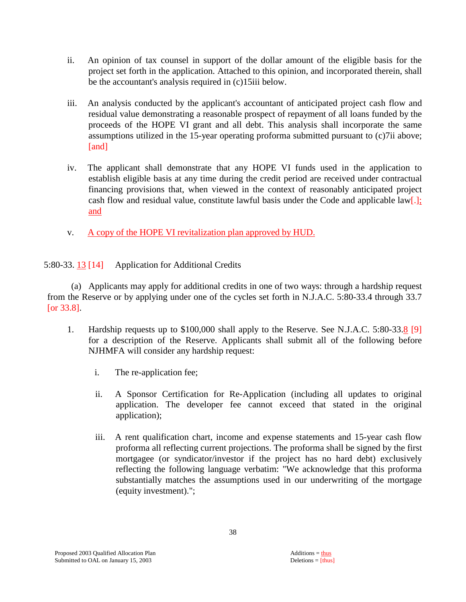- ii. An opinion of tax counsel in support of the dollar amount of the eligible basis for the project set forth in the application. Attached to this opinion, and incorporated therein, shall be the accountant's analysis required in (c)15iii below.
- iii. An analysis conducted by the applicant's accountant of anticipated project cash flow and residual value demonstrating a reasonable prospect of repayment of all loans funded by the proceeds of the HOPE VI grant and all debt. This analysis shall incorporate the same assumptions utilized in the 15-year operating proforma submitted pursuant to (c)7ii above; [and]
- iv. The applicant shall demonstrate that any HOPE VI funds used in the application to establish eligible basis at any time during the credit period are received under contractual financing provisions that, when viewed in the context of reasonably anticipated project cash flow and residual value, constitute lawful basis under the Code and applicable law[.]; and
- v. A copy of the HOPE VI revitalization plan approved by HUD.
- 5:80-33. 13 [14] Application for Additional Credits

 (a) Applicants may apply for additional credits in one of two ways: through a hardship request from the Reserve or by applying under one of the cycles set forth in N.J.A.C. 5:80-33.4 through 33.7 [or 33.8].

- 1. Hardship requests up to \$100,000 shall apply to the Reserve. See N.J.A.C. 5:80-33.8 [9] for a description of the Reserve. Applicants shall submit all of the following before NJHMFA will consider any hardship request:
	- i. The re-application fee;
	- ii. A Sponsor Certification for Re-Application (including all updates to original application. The developer fee cannot exceed that stated in the original application);
	- iii. A rent qualification chart, income and expense statements and 15-year cash flow proforma all reflecting current projections. The proforma shall be signed by the first mortgagee (or syndicator/investor if the project has no hard debt) exclusively reflecting the following language verbatim: "We acknowledge that this proforma substantially matches the assumptions used in our underwriting of the mortgage (equity investment).";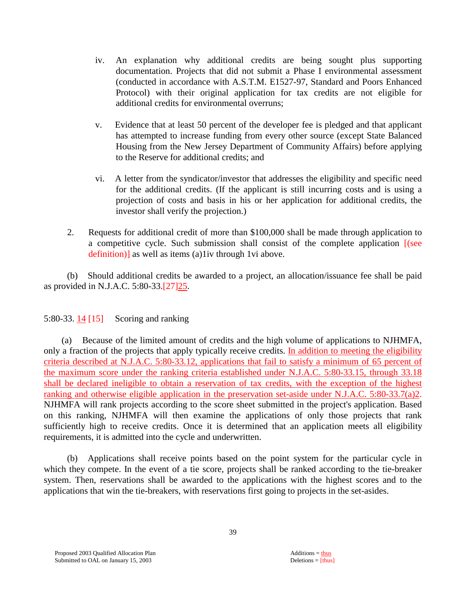- iv. An explanation why additional credits are being sought plus supporting documentation. Projects that did not submit a Phase I environmental assessment (conducted in accordance with A.S.T.M. E1527-97, Standard and Poors Enhanced Protocol) with their original application for tax credits are not eligible for additional credits for environmental overruns;
- v. Evidence that at least 50 percent of the developer fee is pledged and that applicant has attempted to increase funding from every other source (except State Balanced Housing from the New Jersey Department of Community Affairs) before applying to the Reserve for additional credits; and
- vi. A letter from the syndicator/investor that addresses the eligibility and specific need for the additional credits. (If the applicant is still incurring costs and is using a projection of costs and basis in his or her application for additional credits, the investor shall verify the projection.)
- 2. Requests for additional credit of more than \$100,000 shall be made through application to a competitive cycle. Such submission shall consist of the complete application [(see definition)] as well as items (a)1iv through 1vi above.

 (b) Should additional credits be awarded to a project, an allocation/issuance fee shall be paid as provided in N.J.A.C. 5:80-33.[27]25.

# 5:80-33. 14 [15] Scoring and ranking

 (a) Because of the limited amount of credits and the high volume of applications to NJHMFA, only a fraction of the projects that apply typically receive credits. In addition to meeting the eligibility criteria described at N.J.A.C. 5:80-33.12, applications that fail to satisfy a minimum of 65 percent of the maximum score under the ranking criteria established under N.J.A.C. 5:80-33.15, through 33.18 shall be declared ineligible to obtain a reservation of tax credits, with the exception of the highest ranking and otherwise eligible application in the preservation set-aside under N.J.A.C. 5:80-33.7(a)2. NJHMFA will rank projects according to the score sheet submitted in the project's application. Based on this ranking, NJHMFA will then examine the applications of only those projects that rank sufficiently high to receive credits. Once it is determined that an application meets all eligibility requirements, it is admitted into the cycle and underwritten.

 (b) Applications shall receive points based on the point system for the particular cycle in which they compete. In the event of a tie score, projects shall be ranked according to the tie-breaker system. Then, reservations shall be awarded to the applications with the highest scores and to the applications that win the tie-breakers, with reservations first going to projects in the set-asides.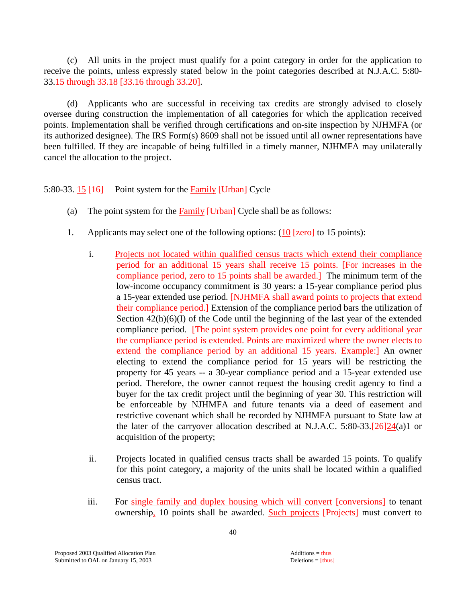(c) All units in the project must qualify for a point category in order for the application to receive the points, unless expressly stated below in the point categories described at N.J.A.C. 5:80- 33.15 through 33.18 [33.16 through 33.20].

 (d) Applicants who are successful in receiving tax credits are strongly advised to closely oversee during construction the implementation of all categories for which the application received points. Implementation shall be verified through certifications and on-site inspection by NJHMFA (or its authorized designee). The IRS Form(s) 8609 shall not be issued until all owner representations have been fulfilled. If they are incapable of being fulfilled in a timely manner, NJHMFA may unilaterally cancel the allocation to the project.

5:80-33. 15 [16] Point system for the Family [Urban] Cycle

- (a) The point system for the Family [Urban] Cycle shall be as follows:
- 1. Applicants may select one of the following options: (10 [zero] to 15 points):
	- i. Projects not located within qualified census tracts which extend their compliance period for an additional 15 years shall receive 15 points. [For increases in the compliance period, zero to 15 points shall be awarded.] The minimum term of the low-income occupancy commitment is 30 years: a 15-year compliance period plus a 15-year extended use period. [NJHMFA shall award points to projects that extend their compliance period.] Extension of the compliance period bars the utilization of Section  $42(h)(6)(I)$  of the Code until the beginning of the last year of the extended compliance period. [The point system provides one point for every additional year the compliance period is extended. Points are maximized where the owner elects to extend the compliance period by an additional 15 years. Example:] An owner electing to extend the compliance period for 15 years will be restricting the property for 45 years -- a 30-year compliance period and a 15-year extended use period. Therefore, the owner cannot request the housing credit agency to find a buyer for the tax credit project until the beginning of year 30. This restriction will be enforceable by NJHMFA and future tenants via a deed of easement and restrictive covenant which shall be recorded by NJHMFA pursuant to State law at the later of the carryover allocation described at N.J.A.C. 5:80-33. $[26]24(a)1$  or acquisition of the property;
	- ii. Projects located in qualified census tracts shall be awarded 15 points. To qualify for this point category, a majority of the units shall be located within a qualified census tract.
	- iii. For single family and duplex housing which will convert [conversions] to tenant ownership, 10 points shall be awarded. Such projects [Projects] must convert to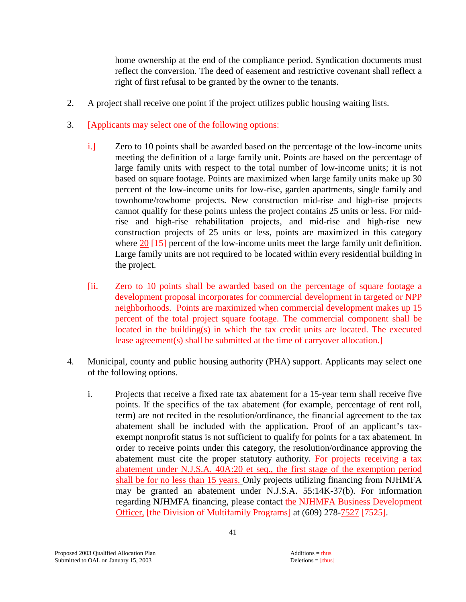home ownership at the end of the compliance period. Syndication documents must reflect the conversion. The deed of easement and restrictive covenant shall reflect a right of first refusal to be granted by the owner to the tenants.

- 2. A project shall receive one point if the project utilizes public housing waiting lists.
- 3. [Applicants may select one of the following options:
	- i.] Zero to 10 points shall be awarded based on the percentage of the low-income units meeting the definition of a large family unit. Points are based on the percentage of large family units with respect to the total number of low-income units; it is not based on square footage. Points are maximized when large family units make up 30 percent of the low-income units for low-rise, garden apartments, single family and townhome/rowhome projects. New construction mid-rise and high-rise projects cannot qualify for these points unless the project contains 25 units or less. For midrise and high-rise rehabilitation projects, and mid-rise and high-rise new construction projects of 25 units or less, points are maximized in this category where 20 [15] percent of the low-income units meet the large family unit definition. Large family units are not required to be located within every residential building in the project.
	- [ii. Zero to 10 points shall be awarded based on the percentage of square footage a development proposal incorporates for commercial development in targeted or NPP neighborhoods. Points are maximized when commercial development makes up 15 percent of the total project square footage. The commercial component shall be located in the building(s) in which the tax credit units are located. The executed lease agreement(s) shall be submitted at the time of carryover allocation.]
- 4. Municipal, county and public housing authority (PHA) support. Applicants may select one of the following options.
	- i. Projects that receive a fixed rate tax abatement for a 15-year term shall receive five points. If the specifics of the tax abatement (for example, percentage of rent roll, term) are not recited in the resolution/ordinance, the financial agreement to the tax abatement shall be included with the application. Proof of an applicant's taxexempt nonprofit status is not sufficient to qualify for points for a tax abatement. In order to receive points under this category, the resolution/ordinance approving the abatement must cite the proper statutory authority. For projects receiving a tax abatement under N.J.S.A. 40A:20 et seq., the first stage of the exemption period shall be for no less than 15 years. Only projects utilizing financing from NJHMFA may be granted an abatement under N.J.S.A. 55:14K-37(b). For information regarding NJHMFA financing, please contact the NJHMFA Business Development Officer, [the Division of Multifamily Programs] at (609) 278-7527 [7525].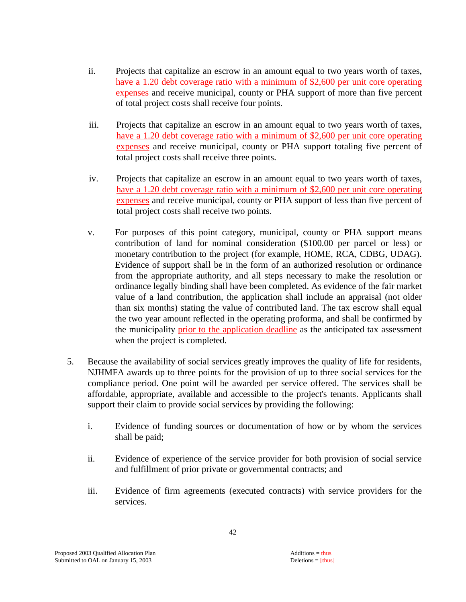- ii. Projects that capitalize an escrow in an amount equal to two years worth of taxes, have a 1.20 debt coverage ratio with a minimum of \$2,600 per unit core operating expenses and receive municipal, county or PHA support of more than five percent of total project costs shall receive four points.
- iii. Projects that capitalize an escrow in an amount equal to two years worth of taxes, have a 1.20 debt coverage ratio with a minimum of \$2,600 per unit core operating expenses and receive municipal, county or PHA support totaling five percent of total project costs shall receive three points.
- iv. Projects that capitalize an escrow in an amount equal to two years worth of taxes, have a 1.20 debt coverage ratio with a minimum of \$2,600 per unit core operating expenses and receive municipal, county or PHA support of less than five percent of total project costs shall receive two points.
- v. For purposes of this point category, municipal, county or PHA support means contribution of land for nominal consideration (\$100.00 per parcel or less) or monetary contribution to the project (for example, HOME, RCA, CDBG, UDAG). Evidence of support shall be in the form of an authorized resolution or ordinance from the appropriate authority, and all steps necessary to make the resolution or ordinance legally binding shall have been completed. As evidence of the fair market value of a land contribution, the application shall include an appraisal (not older than six months) stating the value of contributed land. The tax escrow shall equal the two year amount reflected in the operating proforma, and shall be confirmed by the municipality prior to the application deadline as the anticipated tax assessment when the project is completed.
- 5. Because the availability of social services greatly improves the quality of life for residents, NJHMFA awards up to three points for the provision of up to three social services for the compliance period. One point will be awarded per service offered. The services shall be affordable, appropriate, available and accessible to the project's tenants. Applicants shall support their claim to provide social services by providing the following:
	- i. Evidence of funding sources or documentation of how or by whom the services shall be paid;
	- ii. Evidence of experience of the service provider for both provision of social service and fulfillment of prior private or governmental contracts; and
	- iii. Evidence of firm agreements (executed contracts) with service providers for the services.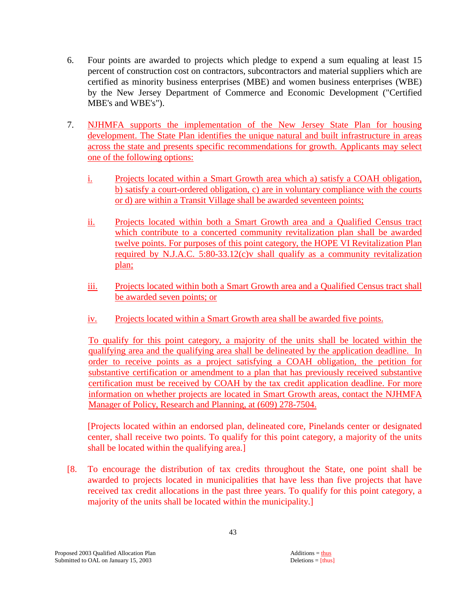- 6. Four points are awarded to projects which pledge to expend a sum equaling at least 15 percent of construction cost on contractors, subcontractors and material suppliers which are certified as minority business enterprises (MBE) and women business enterprises (WBE) by the New Jersey Department of Commerce and Economic Development ("Certified MBE's and WBE's").
- 7. NJHMFA supports the implementation of the New Jersey State Plan for housing development. The State Plan identifies the unique natural and built infrastructure in areas across the state and presents specific recommendations for growth. Applicants may select one of the following options:
	- i. Projects located within a Smart Growth area which a) satisfy a COAH obligation, b) satisfy a court-ordered obligation, c) are in voluntary compliance with the courts or d) are within a Transit Village shall be awarded seventeen points;
	- ii. Projects located within both a Smart Growth area and a Qualified Census tract which contribute to a concerted community revitalization plan shall be awarded twelve points. For purposes of this point category, the HOPE VI Revitalization Plan required by N.J.A.C. 5:80-33.12(c)v shall qualify as a community revitalization plan;
	- iii. Projects located within both a Smart Growth area and a Qualified Census tract shall be awarded seven points; or
	- iv. Projects located within a Smart Growth area shall be awarded five points.

 To qualify for this point category, a majority of the units shall be located within the qualifying area and the qualifying area shall be delineated by the application deadline. In order to receive points as a project satisfying a COAH obligation, the petition for substantive certification or amendment to a plan that has previously received substantive certification must be received by COAH by the tax credit application deadline. For more information on whether projects are located in Smart Growth areas, contact the NJHMFA Manager of Policy, Research and Planning, at (609) 278-7504.

[Projects located within an endorsed plan, delineated core, Pinelands center or designated center, shall receive two points. To qualify for this point category, a majority of the units shall be located within the qualifying area.]

[8. To encourage the distribution of tax credits throughout the State, one point shall be awarded to projects located in municipalities that have less than five projects that have received tax credit allocations in the past three years. To qualify for this point category, a majority of the units shall be located within the municipality.]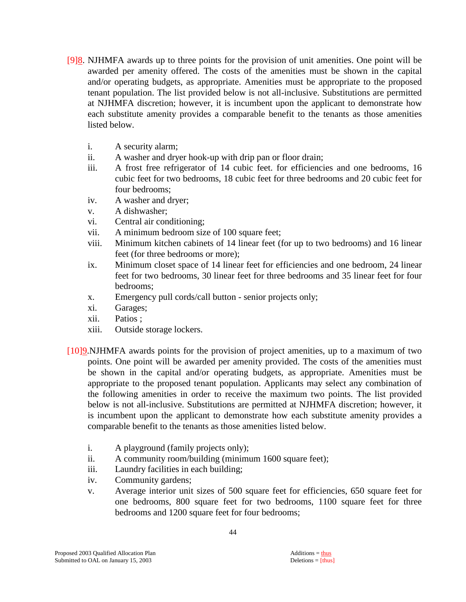- [9]8. NJHMFA awards up to three points for the provision of unit amenities. One point will be awarded per amenity offered. The costs of the amenities must be shown in the capital and/or operating budgets, as appropriate. Amenities must be appropriate to the proposed tenant population. The list provided below is not all-inclusive. Substitutions are permitted at NJHMFA discretion; however, it is incumbent upon the applicant to demonstrate how each substitute amenity provides a comparable benefit to the tenants as those amenities listed below.
	- i. A security alarm;
	- ii. A washer and dryer hook-up with drip pan or floor drain;
	- iii. A frost free refrigerator of 14 cubic feet. for efficiencies and one bedrooms, 16 cubic feet for two bedrooms, 18 cubic feet for three bedrooms and 20 cubic feet for four bedrooms;
	- iv. A washer and dryer;
	- v. A dishwasher;
	- vi. Central air conditioning;
	- vii. A minimum bedroom size of 100 square feet;
	- viii. Minimum kitchen cabinets of 14 linear feet (for up to two bedrooms) and 16 linear feet (for three bedrooms or more);
	- ix. Minimum closet space of 14 linear feet for efficiencies and one bedroom, 24 linear feet for two bedrooms, 30 linear feet for three bedrooms and 35 linear feet for four bedrooms;
	- x. Emergency pull cords/call button senior projects only;
	- xi. Garages;
	- xii. Patios ;
	- xiii. Outside storage lockers.
- [10]9.NJHMFA awards points for the provision of project amenities, up to a maximum of two points. One point will be awarded per amenity provided. The costs of the amenities must be shown in the capital and/or operating budgets, as appropriate. Amenities must be appropriate to the proposed tenant population. Applicants may select any combination of the following amenities in order to receive the maximum two points. The list provided below is not all-inclusive. Substitutions are permitted at NJHMFA discretion; however, it is incumbent upon the applicant to demonstrate how each substitute amenity provides a comparable benefit to the tenants as those amenities listed below.
	- i. A playground (family projects only);
	- ii. A community room/building (minimum 1600 square feet);
	- iii. Laundry facilities in each building;
	- iv. Community gardens;
	- v. Average interior unit sizes of 500 square feet for efficiencies, 650 square feet for one bedrooms, 800 square feet for two bedrooms, 1100 square feet for three bedrooms and 1200 square feet for four bedrooms;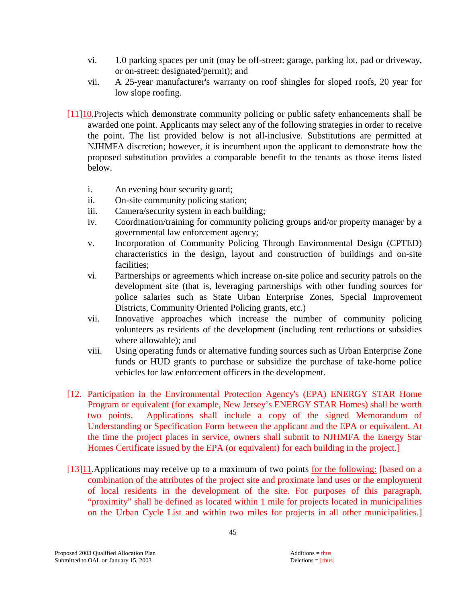- vi. 1.0 parking spaces per unit (may be off-street: garage, parking lot, pad or driveway, or on-street: designated/permit); and
- vii. A 25-year manufacturer's warranty on roof shingles for sloped roofs, 20 year for low slope roofing.
- [11]10.Projects which demonstrate community policing or public safety enhancements shall be awarded one point. Applicants may select any of the following strategies in order to receive the point. The list provided below is not all-inclusive. Substitutions are permitted at NJHMFA discretion; however, it is incumbent upon the applicant to demonstrate how the proposed substitution provides a comparable benefit to the tenants as those items listed below.
	- i. An evening hour security guard;
	- ii. On-site community policing station;
	- iii. Camera/security system in each building;
	- iv. Coordination/training for community policing groups and/or property manager by a governmental law enforcement agency;
	- v. Incorporation of Community Policing Through Environmental Design (CPTED) characteristics in the design, layout and construction of buildings and on-site facilities;
	- vi. Partnerships or agreements which increase on-site police and security patrols on the development site (that is, leveraging partnerships with other funding sources for police salaries such as State Urban Enterprise Zones, Special Improvement Districts, Community Oriented Policing grants, etc.)
	- vii. Innovative approaches which increase the number of community policing volunteers as residents of the development (including rent reductions or subsidies where allowable); and
	- viii. Using operating funds or alternative funding sources such as Urban Enterprise Zone funds or HUD grants to purchase or subsidize the purchase of take-home police vehicles for law enforcement officers in the development.
- [12. Participation in the Environmental Protection Agency's (EPA) ENERGY STAR Home Program or equivalent (for example, New Jersey's ENERGY STAR Homes) shall be worth two points. Applications shall include a copy of the signed Memorandum of Understanding or Specification Form between the applicant and the EPA or equivalent. At the time the project places in service, owners shall submit to NJHMFA the Energy Star Homes Certificate issued by the EPA (or equivalent) for each building in the project.]
- [13]11.Applications may receive up to a maximum of two points for the following: [based on a combination of the attributes of the project site and proximate land uses or the employment of local residents in the development of the site. For purposes of this paragraph, "proximity" shall be defined as located within 1 mile for projects located in municipalities on the Urban Cycle List and within two miles for projects in all other municipalities.]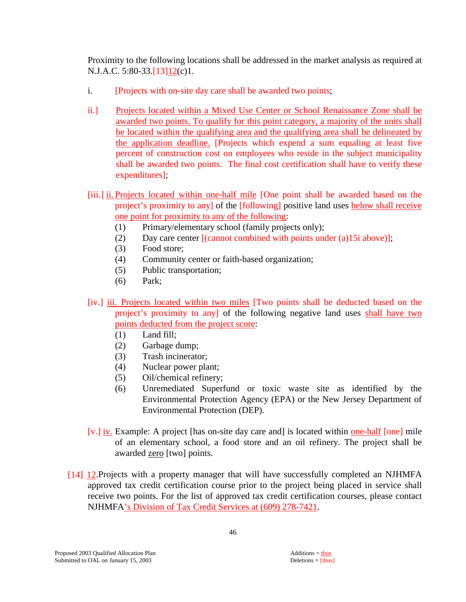Proximity to the following locations shall be addressed in the market analysis as required at N.J.A.C. 5:80-33.[13]12(c)1.

- i. [Projects with on-site day care shall be awarded two points;
- ii.] Projects located within a Mixed Use Center or School Renaissance Zone shall be awarded two points. To qualify for this point category, a majority of the units shall be located within the qualifying area and the qualifying area shall be delineated by the application deadline. [Projects which expend a sum equaling at least five percent of construction cost on employees who reside in the subject municipality shall be awarded two points. The final cost certification shall have to verify these expenditures];
- [iii.] ii. Projects located within one-half mile [One point shall be awarded based on the project's proximity to any] of the [following] positive land uses below shall receive one point for proximity to any of the following:
	- (1) Primary/elementary school (family projects only);
	- (2) Day care center [(cannot combined with points under (a)15i above)];
	- (3) Food store;
	- (4) Community center or faith-based organization;
	- (5) Public transportation;
	- (6) Park;
- [iv.] iii. Projects located within two miles [Two points shall be deducted based on the project's proximity to any] of the following negative land uses shall have two points deducted from the project score:
	- (1) Land fill;
	- (2) Garbage dump;
	- (3) Trash incinerator;
	- (4) Nuclear power plant;
	- (5) Oil/chemical refinery;
	- (6) Unremediated Superfund or toxic waste site as identified by the Environmental Protection Agency (EPA) or the New Jersey Department of Environmental Protection (DEP).
- [v.] iv. Example: A project [has on-site day care and] is located within one-half [one] mile of an elementary school, a food store and an oil refinery. The project shall be awarded zero [two] points.
- [14] 12.Projects with a property manager that will have successfully completed an NJHMFA approved tax credit certification course prior to the project being placed in service shall receive two points. For the list of approved tax credit certification courses, please contact NJHMFA's Division of Tax Credit Services at (609) 278-7421.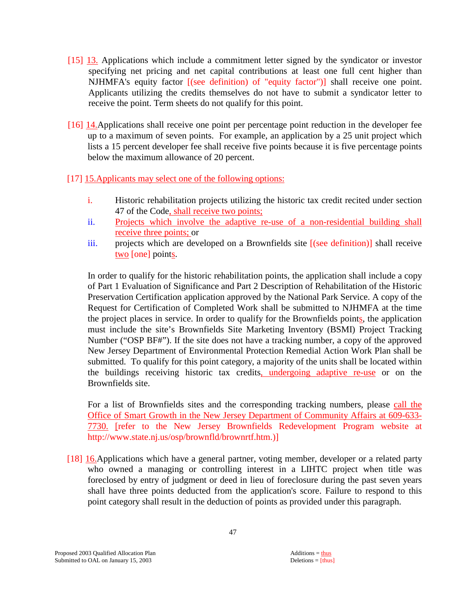- [15] 13. Applications which include a commitment letter signed by the syndicator or investor specifying net pricing and net capital contributions at least one full cent higher than NJHMFA's equity factor [(see definition) of "equity factor")] shall receive one point. Applicants utilizing the credits themselves do not have to submit a syndicator letter to receive the point. Term sheets do not qualify for this point.
- [16] 14.Applications shall receive one point per percentage point reduction in the developer fee up to a maximum of seven points. For example, an application by a 25 unit project which lists a 15 percent developer fee shall receive five points because it is five percentage points below the maximum allowance of 20 percent.
- [17] 15.Applicants may select one of the following options:
	- i. Historic rehabilitation projects utilizing the historic tax credit recited under section 47 of the Code, shall receive two points;
	- ii. Projects which involve the adaptive re-use of a non-residential building shall receive three points; or
	- iii. projects which are developed on a Brownfields site [(see definition)] shall receive two [one] points.

In order to qualify for the historic rehabilitation points, the application shall include a copy of Part 1 Evaluation of Significance and Part 2 Description of Rehabilitation of the Historic Preservation Certification application approved by the National Park Service. A copy of the Request for Certification of Completed Work shall be submitted to NJHMFA at the time the project places in service. In order to qualify for the Brownfields points, the application must include the site's Brownfields Site Marketing Inventory (BSMI) Project Tracking Number ("OSP BF#"). If the site does not have a tracking number, a copy of the approved New Jersey Department of Environmental Protection Remedial Action Work Plan shall be submitted. To qualify for this point category, a majority of the units shall be located within the buildings receiving historic tax credits, undergoing adaptive re-use or on the Brownfields site.

For a list of Brownfields sites and the corresponding tracking numbers, please call the Office of Smart Growth in the New Jersey Department of Community Affairs at 609-633- 7730. [refer to the New Jersey Brownfields Redevelopment Program website at http://www.state.nj.us/osp/brownfld/brownrtf.htm.)]

[18] 16.Applications which have a general partner, voting member, developer or a related party who owned a managing or controlling interest in a LIHTC project when title was foreclosed by entry of judgment or deed in lieu of foreclosure during the past seven years shall have three points deducted from the application's score. Failure to respond to this point category shall result in the deduction of points as provided under this paragraph.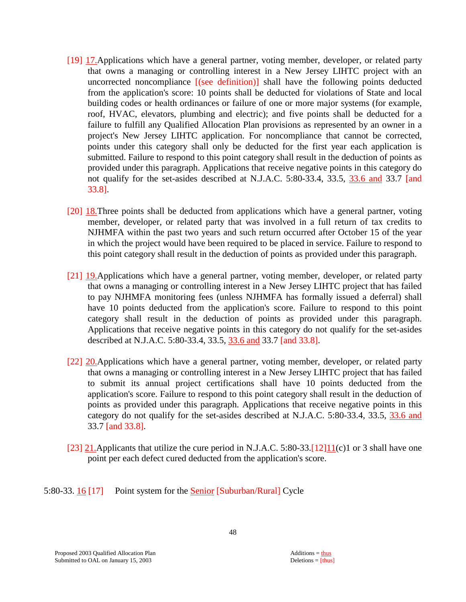- [19] 17. Applications which have a general partner, voting member, developer, or related party that owns a managing or controlling interest in a New Jersey LIHTC project with an uncorrected noncompliance [(see definition)] shall have the following points deducted from the application's score: 10 points shall be deducted for violations of State and local building codes or health ordinances or failure of one or more major systems (for example, roof, HVAC, elevators, plumbing and electric); and five points shall be deducted for a failure to fulfill any Qualified Allocation Plan provisions as represented by an owner in a project's New Jersey LIHTC application. For noncompliance that cannot be corrected, points under this category shall only be deducted for the first year each application is submitted. Failure to respond to this point category shall result in the deduction of points as provided under this paragraph. Applications that receive negative points in this category do not qualify for the set-asides described at N.J.A.C. 5:80-33.4, 33.5, 33.6 and 33.7 [and 33.8].
- [20] 18.Three points shall be deducted from applications which have a general partner, voting member, developer, or related party that was involved in a full return of tax credits to NJHMFA within the past two years and such return occurred after October 15 of the year in which the project would have been required to be placed in service. Failure to respond to this point category shall result in the deduction of points as provided under this paragraph.
- [21] 19. Applications which have a general partner, voting member, developer, or related party that owns a managing or controlling interest in a New Jersey LIHTC project that has failed to pay NJHMFA monitoring fees (unless NJHMFA has formally issued a deferral) shall have 10 points deducted from the application's score. Failure to respond to this point category shall result in the deduction of points as provided under this paragraph. Applications that receive negative points in this category do not qualify for the set-asides described at N.J.A.C. 5:80-33.4, 33.5, 33.6 and 33.7 [and 33.8].
- [22] 20.Applications which have a general partner, voting member, developer, or related party that owns a managing or controlling interest in a New Jersey LIHTC project that has failed to submit its annual project certifications shall have 10 points deducted from the application's score. Failure to respond to this point category shall result in the deduction of points as provided under this paragraph. Applications that receive negative points in this category do not qualify for the set-asides described at N.J.A.C. 5:80-33.4, 33.5, 33.6 and 33.7 [and 33.8].
- [23] 21.Applicants that utilize the cure period in N.J.A.C. 5:80-33.[12]11(c)1 or 3 shall have one point per each defect cured deducted from the application's score.

5:80-33. 16 [17] Point system for the Senior [Suburban/Rural] Cycle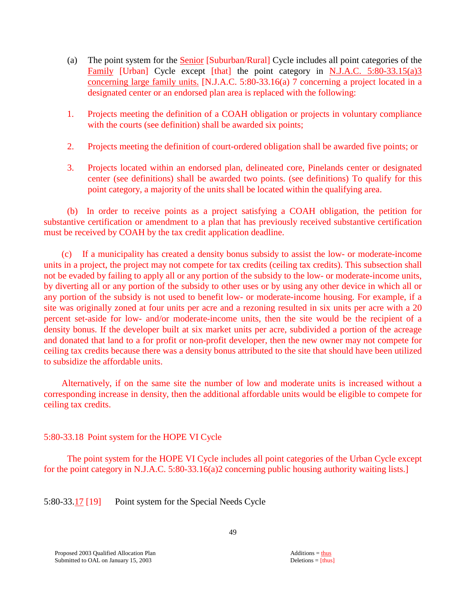- (a) The point system for the Senior [Suburban/Rural] Cycle includes all point categories of the Family [Urban] Cycle except [that] the point category in N.J.A.C. 5:80-33.15(a)3 concerning large family units. [N.J.A.C. 5:80-33.16(a) 7 concerning a project located in a designated center or an endorsed plan area is replaced with the following:
- 1. Projects meeting the definition of a COAH obligation or projects in voluntary compliance with the courts (see definition) shall be awarded six points;
- 2. Projects meeting the definition of court-ordered obligation shall be awarded five points; or
- 3. Projects located within an endorsed plan, delineated core, Pinelands center or designated center (see definitions) shall be awarded two points. (see definitions) To qualify for this point category, a majority of the units shall be located within the qualifying area.

 (b) In order to receive points as a project satisfying a COAH obligation, the petition for substantive certification or amendment to a plan that has previously received substantive certification must be received by COAH by the tax credit application deadline.

 (c) If a municipality has created a density bonus subsidy to assist the low- or moderate-income units in a project, the project may not compete for tax credits (ceiling tax credits). This subsection shall not be evaded by failing to apply all or any portion of the subsidy to the low- or moderate-income units, by diverting all or any portion of the subsidy to other uses or by using any other device in which all or any portion of the subsidy is not used to benefit low- or moderate-income housing. For example, if a site was originally zoned at four units per acre and a rezoning resulted in six units per acre with a 20 percent set-aside for low- and/or moderate-income units, then the site would be the recipient of a density bonus. If the developer built at six market units per acre, subdivided a portion of the acreage and donated that land to a for profit or non-profit developer, then the new owner may not compete for ceiling tax credits because there was a density bonus attributed to the site that should have been utilized to subsidize the affordable units.

 Alternatively, if on the same site the number of low and moderate units is increased without a corresponding increase in density, then the additional affordable units would be eligible to compete for ceiling tax credits.

# 5:80-33.18 Point system for the HOPE VI Cycle

 The point system for the HOPE VI Cycle includes all point categories of the Urban Cycle except for the point category in N.J.A.C. 5:80-33.16(a)2 concerning public housing authority waiting lists.]

5:80-33.17 [19] Point system for the Special Needs Cycle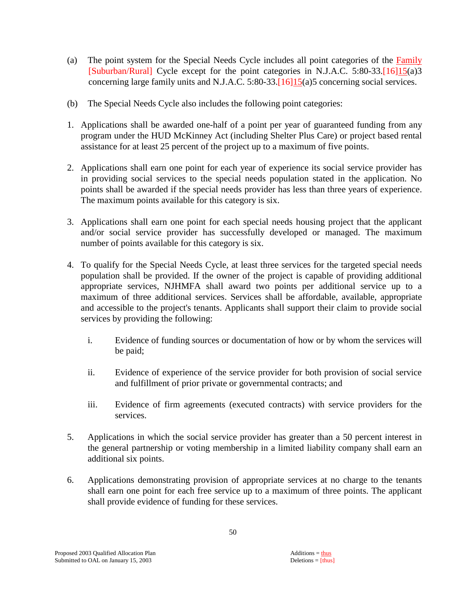- (a) The point system for the Special Needs Cycle includes all point categories of the Family [Suburban/Rural] Cycle except for the point categories in N.J.A.C. 5:80-33.[16]15(a)3 concerning large family units and N.J.A.C. 5:80-33.[16]15(a)5 concerning social services.
- (b) The Special Needs Cycle also includes the following point categories:
- 1. Applications shall be awarded one-half of a point per year of guaranteed funding from any program under the HUD McKinney Act (including Shelter Plus Care) or project based rental assistance for at least 25 percent of the project up to a maximum of five points.
- 2. Applications shall earn one point for each year of experience its social service provider has in providing social services to the special needs population stated in the application. No points shall be awarded if the special needs provider has less than three years of experience. The maximum points available for this category is six.
- 3. Applications shall earn one point for each special needs housing project that the applicant and/or social service provider has successfully developed or managed. The maximum number of points available for this category is six.
- 4. To qualify for the Special Needs Cycle, at least three services for the targeted special needs population shall be provided. If the owner of the project is capable of providing additional appropriate services, NJHMFA shall award two points per additional service up to a maximum of three additional services. Services shall be affordable, available, appropriate and accessible to the project's tenants. Applicants shall support their claim to provide social services by providing the following:
	- i. Evidence of funding sources or documentation of how or by whom the services will be paid;
	- ii. Evidence of experience of the service provider for both provision of social service and fulfillment of prior private or governmental contracts; and
	- iii. Evidence of firm agreements (executed contracts) with service providers for the services.
- 5. Applications in which the social service provider has greater than a 50 percent interest in the general partnership or voting membership in a limited liability company shall earn an additional six points.
- 6. Applications demonstrating provision of appropriate services at no charge to the tenants shall earn one point for each free service up to a maximum of three points. The applicant shall provide evidence of funding for these services.

50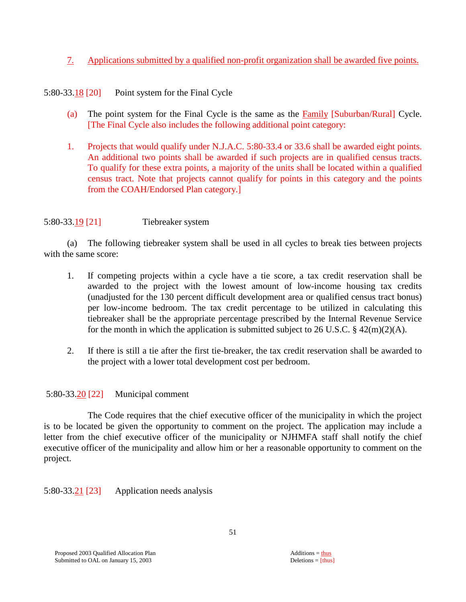7. Applications submitted by a qualified non-profit organization shall be awarded five points.

5:80-33.18 [20] Point system for the Final Cycle

- (a) The point system for the Final Cycle is the same as the Family [Suburban/Rural] Cycle. [The Final Cycle also includes the following additional point category:
- 1. Projects that would qualify under N.J.A.C. 5:80-33.4 or 33.6 shall be awarded eight points. An additional two points shall be awarded if such projects are in qualified census tracts. To qualify for these extra points, a majority of the units shall be located within a qualified census tract. Note that projects cannot qualify for points in this category and the points from the COAH/Endorsed Plan category.]

5:80-33.19 [21] Tiebreaker system

 (a) The following tiebreaker system shall be used in all cycles to break ties between projects with the same score:

- 1. If competing projects within a cycle have a tie score, a tax credit reservation shall be awarded to the project with the lowest amount of low-income housing tax credits (unadjusted for the 130 percent difficult development area or qualified census tract bonus) per low-income bedroom. The tax credit percentage to be utilized in calculating this tiebreaker shall be the appropriate percentage prescribed by the Internal Revenue Service for the month in which the application is submitted subject to 26 U.S.C.  $\S$  42(m)(2)(A).
- 2. If there is still a tie after the first tie-breaker, the tax credit reservation shall be awarded to the project with a lower total development cost per bedroom.

# 5:80-33.20 [22] Municipal comment

 The Code requires that the chief executive officer of the municipality in which the project is to be located be given the opportunity to comment on the project. The application may include a letter from the chief executive officer of the municipality or NJHMFA staff shall notify the chief executive officer of the municipality and allow him or her a reasonable opportunity to comment on the project.

5:80-33.21 [23] Application needs analysis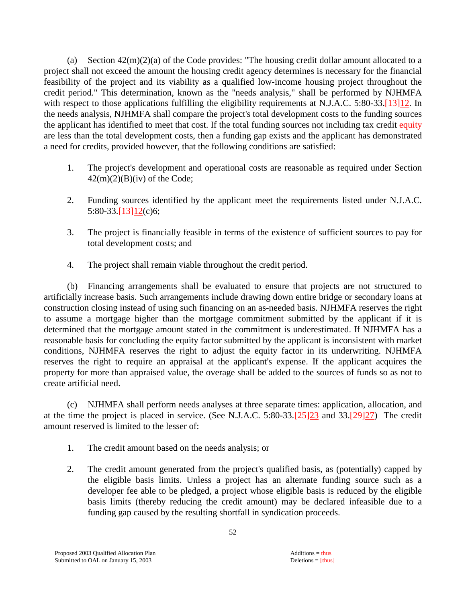(a) Section  $42(m)(2)(a)$  of the Code provides: "The housing credit dollar amount allocated to a project shall not exceed the amount the housing credit agency determines is necessary for the financial feasibility of the project and its viability as a qualified low-income housing project throughout the credit period." This determination, known as the "needs analysis," shall be performed by NJHMFA with respect to those applications fulfilling the eligibility requirements at N.J.A.C. 5:80-33.[13]12. In the needs analysis, NJHMFA shall compare the project's total development costs to the funding sources the applicant has identified to meet that cost. If the total funding sources not including tax credit equity are less than the total development costs, then a funding gap exists and the applicant has demonstrated a need for credits, provided however, that the following conditions are satisfied:

- 1. The project's development and operational costs are reasonable as required under Section  $42(m)(2)(B)(iv)$  of the Code;
- 2. Funding sources identified by the applicant meet the requirements listed under N.J.A.C. 5:80-33.[13]12(c)6;
- 3. The project is financially feasible in terms of the existence of sufficient sources to pay for total development costs; and
- 4. The project shall remain viable throughout the credit period.

 (b) Financing arrangements shall be evaluated to ensure that projects are not structured to artificially increase basis. Such arrangements include drawing down entire bridge or secondary loans at construction closing instead of using such financing on an as-needed basis. NJHMFA reserves the right to assume a mortgage higher than the mortgage commitment submitted by the applicant if it is determined that the mortgage amount stated in the commitment is underestimated. If NJHMFA has a reasonable basis for concluding the equity factor submitted by the applicant is inconsistent with market conditions, NJHMFA reserves the right to adjust the equity factor in its underwriting. NJHMFA reserves the right to require an appraisal at the applicant's expense. If the applicant acquires the property for more than appraised value, the overage shall be added to the sources of funds so as not to create artificial need.

 (c) NJHMFA shall perform needs analyses at three separate times: application, allocation, and at the time the project is placed in service. (See N.J.A.C. 5:80-33.[25]23 and 33.[29]27) The credit amount reserved is limited to the lesser of:

- 1. The credit amount based on the needs analysis; or
- 2. The credit amount generated from the project's qualified basis, as (potentially) capped by the eligible basis limits. Unless a project has an alternate funding source such as a developer fee able to be pledged, a project whose eligible basis is reduced by the eligible basis limits (thereby reducing the credit amount) may be declared infeasible due to a funding gap caused by the resulting shortfall in syndication proceeds.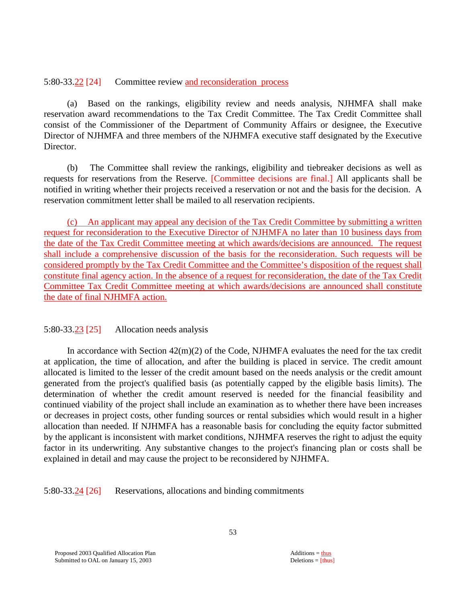#### 5:80-33.22 [24] Committee review and reconsideration process

 (a) Based on the rankings, eligibility review and needs analysis, NJHMFA shall make reservation award recommendations to the Tax Credit Committee. The Tax Credit Committee shall consist of the Commissioner of the Department of Community Affairs or designee, the Executive Director of NJHMFA and three members of the NJHMFA executive staff designated by the Executive Director.

 (b) The Committee shall review the rankings, eligibility and tiebreaker decisions as well as requests for reservations from the Reserve. [Committee decisions are final.] All applicants shall be notified in writing whether their projects received a reservation or not and the basis for the decision. A reservation commitment letter shall be mailed to all reservation recipients.

 (c) An applicant may appeal any decision of the Tax Credit Committee by submitting a written request for reconsideration to the Executive Director of NJHMFA no later than 10 business days from the date of the Tax Credit Committee meeting at which awards/decisions are announced. The request shall include a comprehensive discussion of the basis for the reconsideration. Such requests will be considered promptly by the Tax Credit Committee and the Committee's disposition of the request shall constitute final agency action. In the absence of a request for reconsideration, the date of the Tax Credit Committee Tax Credit Committee meeting at which awards/decisions are announced shall constitute the date of final NJHMFA action.

#### 5:80-33.23 [25] Allocation needs analysis

In accordance with Section  $42(m)(2)$  of the Code, NJHMFA evaluates the need for the tax credit at application, the time of allocation, and after the building is placed in service. The credit amount allocated is limited to the lesser of the credit amount based on the needs analysis or the credit amount generated from the project's qualified basis (as potentially capped by the eligible basis limits). The determination of whether the credit amount reserved is needed for the financial feasibility and continued viability of the project shall include an examination as to whether there have been increases or decreases in project costs, other funding sources or rental subsidies which would result in a higher allocation than needed. If NJHMFA has a reasonable basis for concluding the equity factor submitted by the applicant is inconsistent with market conditions, NJHMFA reserves the right to adjust the equity factor in its underwriting. Any substantive changes to the project's financing plan or costs shall be explained in detail and may cause the project to be reconsidered by NJHMFA.

5:80-33.24 [26] Reservations, allocations and binding commitments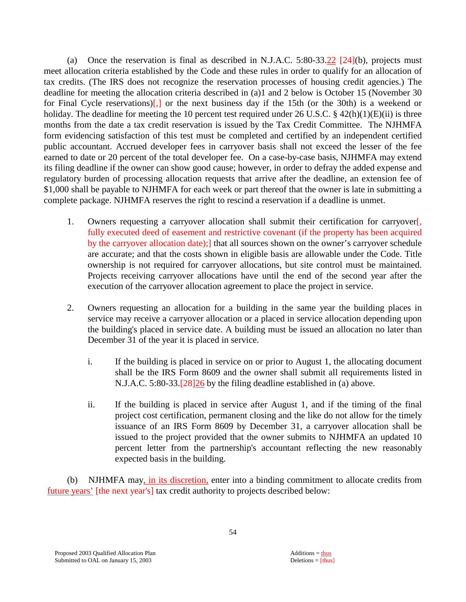(a) Once the reservation is final as described in N.J.A.C.  $5:80-33.22$  [24](b), projects must meet allocation criteria established by the Code and these rules in order to qualify for an allocation of tax credits. (The IRS does not recognize the reservation processes of housing credit agencies.) The deadline for meeting the allocation criteria described in (a)1 and 2 below is October 15 (November 30 for Final Cycle reservations)[,] or the next business day if the 15th (or the 30th) is a weekend or holiday. The deadline for meeting the 10 percent test required under 26 U.S.C.  $\S$  42(h)(1)(E)(ii) is three months from the date a tax credit reservation is issued by the Tax Credit Committee. The NJHMFA form evidencing satisfaction of this test must be completed and certified by an independent certified public accountant. Accrued developer fees in carryover basis shall not exceed the lesser of the fee earned to date or 20 percent of the total developer fee. On a case-by-case basis, NJHMFA may extend its filing deadline if the owner can show good cause; however, in order to defray the added expense and regulatory burden of processing allocation requests that arrive after the deadline, an extension fee of \$1,000 shall be payable to NJHMFA for each week or part thereof that the owner is late in submitting a complete package. NJHMFA reserves the right to rescind a reservation if a deadline is unmet.

- 1. Owners requesting a carryover allocation shall submit their certification for carryover[, fully executed deed of easement and restrictive covenant (if the property has been acquired by the carryover allocation date);] that all sources shown on the owner's carryover schedule are accurate; and that the costs shown in eligible basis are allowable under the Code. Title ownership is not required for carryover allocations, but site control must be maintained. Projects receiving carryover allocations have until the end of the second year after the execution of the carryover allocation agreement to place the project in service.
- 2. Owners requesting an allocation for a building in the same year the building places in service may receive a carryover allocation or a placed in service allocation depending upon the building's placed in service date. A building must be issued an allocation no later than December 31 of the year it is placed in service.
	- i. If the building is placed in service on or prior to August 1, the allocating document shall be the IRS Form 8609 and the owner shall submit all requirements listed in N.J.A.C. 5:80-33.[28]26 by the filing deadline established in (a) above.
	- ii. If the building is placed in service after August 1, and if the timing of the final project cost certification, permanent closing and the like do not allow for the timely issuance of an IRS Form 8609 by December 31, a carryover allocation shall be issued to the project provided that the owner submits to NJHMFA an updated 10 percent letter from the partnership's accountant reflecting the new reasonably expected basis in the building.

 (b) NJHMFA may, in its discretion, enter into a binding commitment to allocate credits from future years' [the next year's] tax credit authority to projects described below: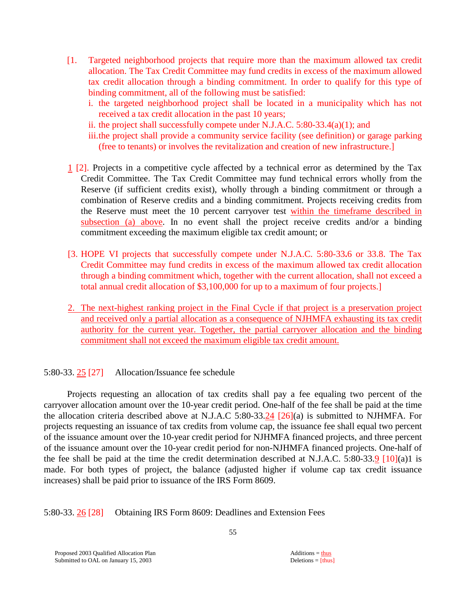- [1. Targeted neighborhood projects that require more than the maximum allowed tax credit allocation. The Tax Credit Committee may fund credits in excess of the maximum allowed tax credit allocation through a binding commitment. In order to qualify for this type of binding commitment, all of the following must be satisfied:
	- i. the targeted neighborhood project shall be located in a municipality which has not received a tax credit allocation in the past 10 years;
	- ii. the project shall successfully compete under N.J.A.C. 5:80-33.4(a)(1); and
	- iii. the project shall provide a community service facility (see definition) or garage parking (free to tenants) or involves the revitalization and creation of new infrastructure.]
- 1 [2]. Projects in a competitive cycle affected by a technical error as determined by the Tax Credit Committee. The Tax Credit Committee may fund technical errors wholly from the Reserve (if sufficient credits exist), wholly through a binding commitment or through a combination of Reserve credits and a binding commitment. Projects receiving credits from the Reserve must meet the 10 percent carryover test within the timeframe described in subsection (a) above. In no event shall the project receive credits and/or a binding commitment exceeding the maximum eligible tax credit amount; or
- [3. HOPE VI projects that successfully compete under N.J.A.C. 5:80-33**.**6 or 33.8. The Tax Credit Committee may fund credits in excess of the maximum allowed tax credit allocation through a binding commitment which, together with the current allocation, shall not exceed a total annual credit allocation of \$3,100,000 for up to a maximum of four projects.]
- 2. The next-highest ranking project in the Final Cycle if that project is a preservation project and received only a partial allocation as a consequence of NJHMFA exhausting its tax credit authority for the current year. Together, the partial carryover allocation and the binding commitment shall not exceed the maximum eligible tax credit amount.

5:80-33. 25 [27] Allocation/Issuance fee schedule

 Projects requesting an allocation of tax credits shall pay a fee equaling two percent of the carryover allocation amount over the 10-year credit period. One-half of the fee shall be paid at the time the allocation criteria described above at N.J.A.C 5:80-33.24 [26](a) is submitted to NJHMFA. For projects requesting an issuance of tax credits from volume cap, the issuance fee shall equal two percent of the issuance amount over the 10-year credit period for NJHMFA financed projects, and three percent of the issuance amount over the 10-year credit period for non-NJHMFA financed projects. One-half of the fee shall be paid at the time the credit determination described at N.J.A.C. 5:80-33.9 [10](a)1 is made. For both types of project, the balance (adjusted higher if volume cap tax credit issuance increases) shall be paid prior to issuance of the IRS Form 8609.

5:80-33. 26 [28] Obtaining IRS Form 8609: Deadlines and Extension Fees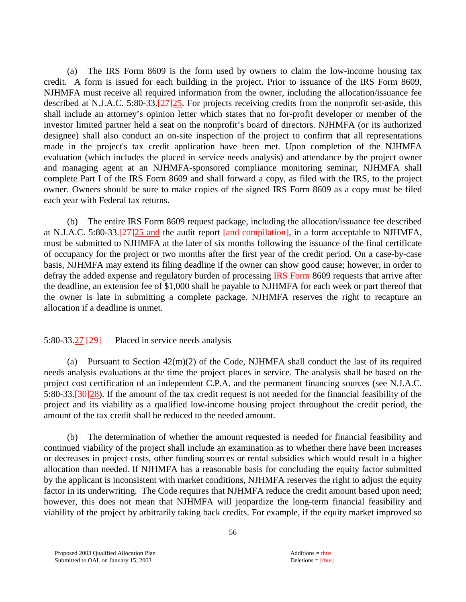(a) The IRS Form 8609 is the form used by owners to claim the low-income housing tax credit. A form is issued for each building in the project. Prior to issuance of the IRS Form 8609, NJHMFA must receive all required information from the owner, including the allocation/issuance fee described at N.J.A.C. 5:80-33.[27]25. For projects receiving credits from the nonprofit set-aside, this shall include an attorney's opinion letter which states that no for-profit developer or member of the investor limited partner held a seat on the nonprofit's board of directors. NJHMFA (or its authorized designee) shall also conduct an on-site inspection of the project to confirm that all representations made in the project's tax credit application have been met. Upon completion of the NJHMFA evaluation (which includes the placed in service needs analysis) and attendance by the project owner and managing agent at an NJHMFA-sponsored compliance monitoring seminar, NJHMFA shall complete Part I of the IRS Form 8609 and shall forward a copy, as filed with the IRS, to the project owner. Owners should be sure to make copies of the signed IRS Form 8609 as a copy must be filed each year with Federal tax returns.

 (b) The entire IRS Form 8609 request package, including the allocation/issuance fee described at N.J.A.C. 5:80-33.[27]25 and the audit report [and compilation], in a form acceptable to NJHMFA, must be submitted to NJHMFA at the later of six months following the issuance of the final certificate of occupancy for the project or two months after the first year of the credit period. On a case-by-case basis, NJHMFA may extend its filing deadline if the owner can show good cause; however, in order to defray the added expense and regulatory burden of processing **IRS Form** 8609 requests that arrive after the deadline, an extension fee of \$1,000 shall be payable to NJHMFA for each week or part thereof that the owner is late in submitting a complete package. NJHMFA reserves the right to recapture an allocation if a deadline is unmet.

#### 5:80-33.27 [29] Placed in service needs analysis

(a) Pursuant to Section  $42(m)(2)$  of the Code, NJHMFA shall conduct the last of its required needs analysis evaluations at the time the project places in service. The analysis shall be based on the project cost certification of an independent C.P.A. and the permanent financing sources (see N.J.A.C. 5:80-33.[30]28). If the amount of the tax credit request is not needed for the financial feasibility of the project and its viability as a qualified low-income housing project throughout the credit period, the amount of the tax credit shall be reduced to the needed amount.

 (b) The determination of whether the amount requested is needed for financial feasibility and continued viability of the project shall include an examination as to whether there have been increases or decreases in project costs, other funding sources or rental subsidies which would result in a higher allocation than needed. If NJHMFA has a reasonable basis for concluding the equity factor submitted by the applicant is inconsistent with market conditions, NJHMFA reserves the right to adjust the equity factor in its underwriting. The Code requires that NJHMFA reduce the credit amount based upon need; however, this does not mean that NJHMFA will jeopardize the long-term financial feasibility and viability of the project by arbitrarily taking back credits. For example, if the equity market improved so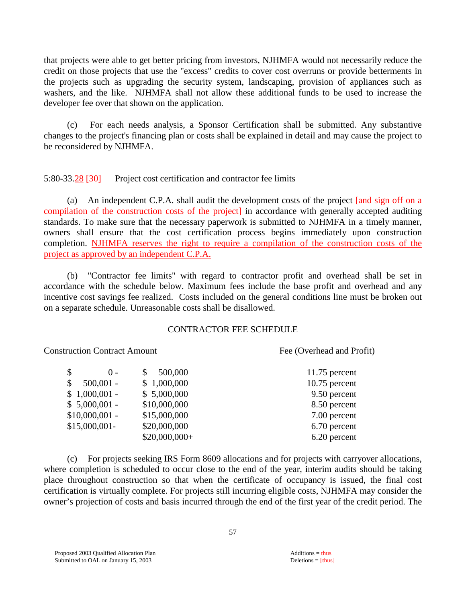that projects were able to get better pricing from investors, NJHMFA would not necessarily reduce the credit on those projects that use the "excess" credits to cover cost overruns or provide betterments in the projects such as upgrading the security system, landscaping, provision of appliances such as washers, and the like. NJHMFA shall not allow these additional funds to be used to increase the developer fee over that shown on the application.

 (c) For each needs analysis, a Sponsor Certification shall be submitted. Any substantive changes to the project's financing plan or costs shall be explained in detail and may cause the project to be reconsidered by NJHMFA.

#### 5:80-33.28 [30] Project cost certification and contractor fee limits

 (a) An independent C.P.A. shall audit the development costs of the project [and sign off on a compilation of the construction costs of the project] in accordance with generally accepted auditing standards. To make sure that the necessary paperwork is submitted to NJHMFA in a timely manner, owners shall ensure that the cost certification process begins immediately upon construction completion. NJHMFA reserves the right to require a compilation of the construction costs of the project as approved by an independent C.P.A.

 (b) "Contractor fee limits" with regard to contractor profit and overhead shall be set in accordance with the schedule below. Maximum fees include the base profit and overhead and any incentive cost savings fee realized. Costs included on the general conditions line must be broken out on a separate schedule. Unreasonable costs shall be disallowed.

#### CONTRACTOR FEE SCHEDULE

#### Construction Contract Amount Fee (Overhead and Profit)

| \$<br>$() -$      | 500,000        | $11.75$ percent |
|-------------------|----------------|-----------------|
| \$<br>$500,001 -$ | \$1,000,000    | $10.75$ percent |
| $$1,000,001$ -    | \$5,000,000    | 9.50 percent    |
| $$5,000,001$ -    | \$10,000,000   | 8.50 percent    |
| $$10,000,001$ -   | \$15,000,000   | 7.00 percent    |
| $$15,000,001-$    | \$20,000,000   | 6.70 percent    |
|                   | $$20,000,000+$ | 6.20 percent    |

 (c) For projects seeking IRS Form 8609 allocations and for projects with carryover allocations, where completion is scheduled to occur close to the end of the year, interim audits should be taking place throughout construction so that when the certificate of occupancy is issued, the final cost certification is virtually complete. For projects still incurring eligible costs, NJHMFA may consider the owner's projection of costs and basis incurred through the end of the first year of the credit period. The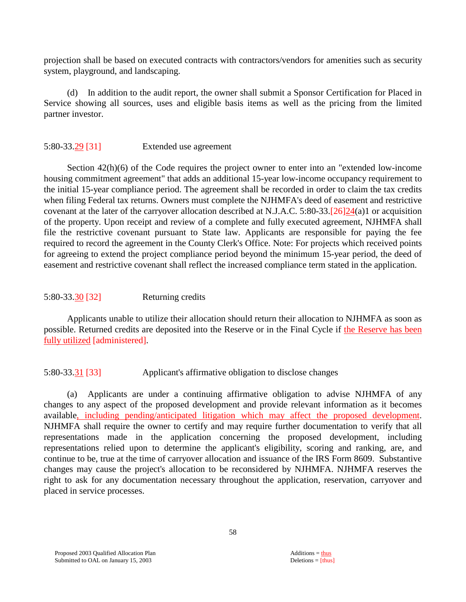projection shall be based on executed contracts with contractors/vendors for amenities such as security system, playground, and landscaping.

 (d) In addition to the audit report, the owner shall submit a Sponsor Certification for Placed in Service showing all sources, uses and eligible basis items as well as the pricing from the limited partner investor.

# 5:80-33.29 [31] Extended use agreement

 Section 42(h)(6) of the Code requires the project owner to enter into an "extended low-income housing commitment agreement" that adds an additional 15-year low-income occupancy requirement to the initial 15-year compliance period. The agreement shall be recorded in order to claim the tax credits when filing Federal tax returns. Owners must complete the NJHMFA's deed of easement and restrictive covenant at the later of the carryover allocation described at N.J.A.C. 5:80-33.[26]24(a)1 or acquisition of the property. Upon receipt and review of a complete and fully executed agreement, NJHMFA shall file the restrictive covenant pursuant to State law. Applicants are responsible for paying the fee required to record the agreement in the County Clerk's Office. Note: For projects which received points for agreeing to extend the project compliance period beyond the minimum 15-year period, the deed of easement and restrictive covenant shall reflect the increased compliance term stated in the application.

#### 5:80-33.30 [32] Returning credits

 Applicants unable to utilize their allocation should return their allocation to NJHMFA as soon as possible. Returned credits are deposited into the Reserve or in the Final Cycle if the Reserve has been fully utilized [administered].

# 5:80-33.31 [33] Applicant's affirmative obligation to disclose changes

 (a) Applicants are under a continuing affirmative obligation to advise NJHMFA of any changes to any aspect of the proposed development and provide relevant information as it becomes available, including pending/anticipated litigation which may affect the proposed development. NJHMFA shall require the owner to certify and may require further documentation to verify that all representations made in the application concerning the proposed development, including representations relied upon to determine the applicant's eligibility, scoring and ranking, are, and continue to be, true at the time of carryover allocation and issuance of the IRS Form 8609. Substantive changes may cause the project's allocation to be reconsidered by NJHMFA. NJHMFA reserves the right to ask for any documentation necessary throughout the application, reservation, carryover and placed in service processes.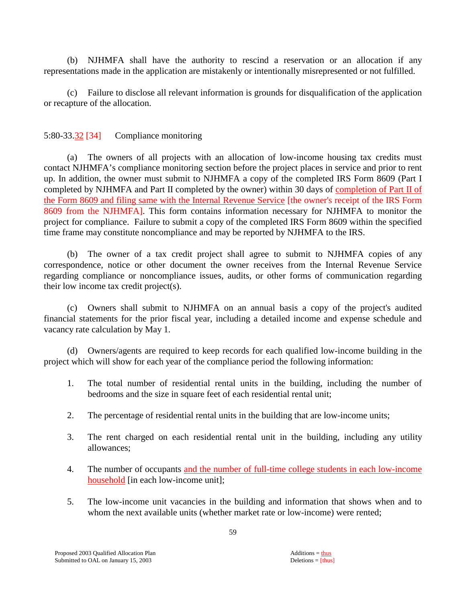(b) NJHMFA shall have the authority to rescind a reservation or an allocation if any representations made in the application are mistakenly or intentionally misrepresented or not fulfilled.

 (c) Failure to disclose all relevant information is grounds for disqualification of the application or recapture of the allocation.

# 5:80-33.32 [34] Compliance monitoring

 (a) The owners of all projects with an allocation of low-income housing tax credits must contact NJHMFA's compliance monitoring section before the project places in service and prior to rent up. In addition, the owner must submit to NJHMFA a copy of the completed IRS Form 8609 (Part I completed by NJHMFA and Part II completed by the owner) within 30 days of completion of Part II of the Form 8609 and filing same with the Internal Revenue Service [the owner's receipt of the IRS Form 8609 from the NJHMFA]. This form contains information necessary for NJHMFA to monitor the project for compliance. Failure to submit a copy of the completed IRS Form 8609 within the specified time frame may constitute noncompliance and may be reported by NJHMFA to the IRS.

 (b) The owner of a tax credit project shall agree to submit to NJHMFA copies of any correspondence, notice or other document the owner receives from the Internal Revenue Service regarding compliance or noncompliance issues, audits, or other forms of communication regarding their low income tax credit project(s).

 (c) Owners shall submit to NJHMFA on an annual basis a copy of the project's audited financial statements for the prior fiscal year, including a detailed income and expense schedule and vacancy rate calculation by May 1.

 (d) Owners/agents are required to keep records for each qualified low-income building in the project which will show for each year of the compliance period the following information:

- 1. The total number of residential rental units in the building, including the number of bedrooms and the size in square feet of each residential rental unit;
- 2. The percentage of residential rental units in the building that are low-income units;
- 3. The rent charged on each residential rental unit in the building, including any utility allowances;
- 4. The number of occupants and the number of full-time college students in each low-income household [in each low-income unit];
- 5. The low-income unit vacancies in the building and information that shows when and to whom the next available units (whether market rate or low-income) were rented;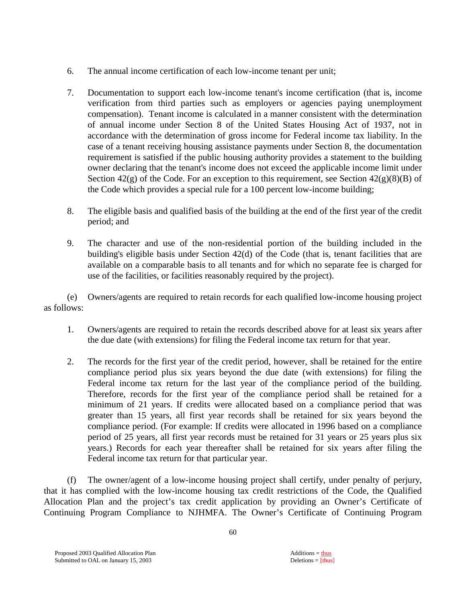- 6. The annual income certification of each low-income tenant per unit;
- 7. Documentation to support each low-income tenant's income certification (that is, income verification from third parties such as employers or agencies paying unemployment compensation). Tenant income is calculated in a manner consistent with the determination of annual income under Section 8 of the United States Housing Act of 1937, not in accordance with the determination of gross income for Federal income tax liability. In the case of a tenant receiving housing assistance payments under Section 8, the documentation requirement is satisfied if the public housing authority provides a statement to the building owner declaring that the tenant's income does not exceed the applicable income limit under Section  $42(g)$  of the Code. For an exception to this requirement, see Section  $42(g)(8)(B)$  of the Code which provides a special rule for a 100 percent low-income building;
- 8. The eligible basis and qualified basis of the building at the end of the first year of the credit period; and
- 9. The character and use of the non-residential portion of the building included in the building's eligible basis under Section 42(d) of the Code (that is, tenant facilities that are available on a comparable basis to all tenants and for which no separate fee is charged for use of the facilities, or facilities reasonably required by the project).

 (e) Owners/agents are required to retain records for each qualified low-income housing project as follows:

- 1. Owners/agents are required to retain the records described above for at least six years after the due date (with extensions) for filing the Federal income tax return for that year.
- 2. The records for the first year of the credit period, however, shall be retained for the entire compliance period plus six years beyond the due date (with extensions) for filing the Federal income tax return for the last year of the compliance period of the building. Therefore, records for the first year of the compliance period shall be retained for a minimum of 21 years. If credits were allocated based on a compliance period that was greater than 15 years, all first year records shall be retained for six years beyond the compliance period. (For example: If credits were allocated in 1996 based on a compliance period of 25 years, all first year records must be retained for 31 years or 25 years plus six years.) Records for each year thereafter shall be retained for six years after filing the Federal income tax return for that particular year.

 (f) The owner/agent of a low-income housing project shall certify, under penalty of perjury, that it has complied with the low-income housing tax credit restrictions of the Code, the Qualified Allocation Plan and the project's tax credit application by providing an Owner's Certificate of Continuing Program Compliance to NJHMFA. The Owner's Certificate of Continuing Program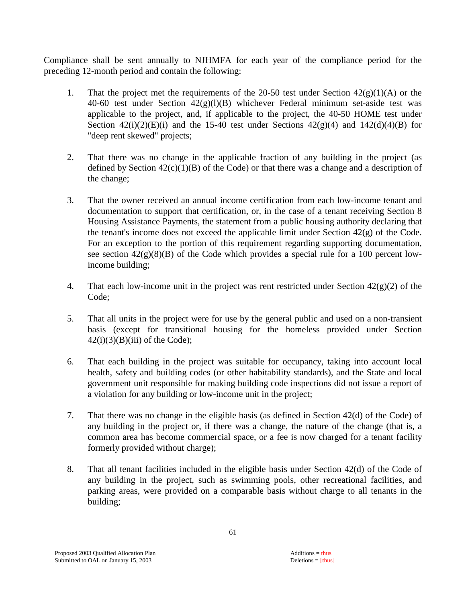Compliance shall be sent annually to NJHMFA for each year of the compliance period for the preceding 12-month period and contain the following:

- 1. That the project met the requirements of the 20-50 test under Section  $42(g)(1)(A)$  or the 40-60 test under Section  $42(g)(l)(B)$  whichever Federal minimum set-aside test was applicable to the project, and, if applicable to the project, the 40-50 HOME test under Section  $42(i)(2)(E)(i)$  and the 15-40 test under Sections  $42(g)(4)$  and  $142(d)(4)(B)$  for "deep rent skewed" projects;
- 2. That there was no change in the applicable fraction of any building in the project (as defined by Section  $42(c)(1)(B)$  of the Code) or that there was a change and a description of the change;
- 3. That the owner received an annual income certification from each low-income tenant and documentation to support that certification, or, in the case of a tenant receiving Section 8 Housing Assistance Payments, the statement from a public housing authority declaring that the tenant's income does not exceed the applicable limit under Section 42(g) of the Code. For an exception to the portion of this requirement regarding supporting documentation, see section  $42(g)(8)(B)$  of the Code which provides a special rule for a 100 percent lowincome building;
- 4. That each low-income unit in the project was rent restricted under Section  $42(g)(2)$  of the Code;
- 5. That all units in the project were for use by the general public and used on a non-transient basis (except for transitional housing for the homeless provided under Section  $42(i)(3)(B)(iii)$  of the Code);
- 6. That each building in the project was suitable for occupancy, taking into account local health, safety and building codes (or other habitability standards), and the State and local government unit responsible for making building code inspections did not issue a report of a violation for any building or low-income unit in the project;
- 7. That there was no change in the eligible basis (as defined in Section 42(d) of the Code) of any building in the project or, if there was a change, the nature of the change (that is, a common area has become commercial space, or a fee is now charged for a tenant facility formerly provided without charge);
- 8. That all tenant facilities included in the eligible basis under Section 42(d) of the Code of any building in the project, such as swimming pools, other recreational facilities, and parking areas, were provided on a comparable basis without charge to all tenants in the building;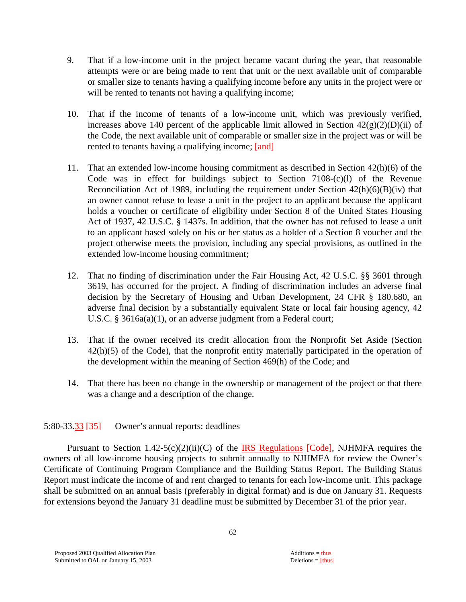- 9. That if a low-income unit in the project became vacant during the year, that reasonable attempts were or are being made to rent that unit or the next available unit of comparable or smaller size to tenants having a qualifying income before any units in the project were or will be rented to tenants not having a qualifying income;
- 10. That if the income of tenants of a low-income unit, which was previously verified, increases above 140 percent of the applicable limit allowed in Section  $42(g)(2)(D)(ii)$  of the Code, the next available unit of comparable or smaller size in the project was or will be rented to tenants having a qualifying income; [and]
- 11. That an extended low-income housing commitment as described in Section 42(h)(6) of the Code was in effect for buildings subject to Section  $7108-(c)(1)$  of the Revenue Reconciliation Act of 1989, including the requirement under Section  $42(h)(6)(B)(iv)$  that an owner cannot refuse to lease a unit in the project to an applicant because the applicant holds a voucher or certificate of eligibility under Section 8 of the United States Housing Act of 1937, 42 U.S.C. § 1437s. In addition, that the owner has not refused to lease a unit to an applicant based solely on his or her status as a holder of a Section 8 voucher and the project otherwise meets the provision, including any special provisions, as outlined in the extended low-income housing commitment;
- 12. That no finding of discrimination under the Fair Housing Act, 42 U.S.C. §§ 3601 through 3619, has occurred for the project. A finding of discrimination includes an adverse final decision by the Secretary of Housing and Urban Development, 24 CFR § 180.680, an adverse final decision by a substantially equivalent State or local fair housing agency, 42 U.S.C. § 3616a(a)(1), or an adverse judgment from a Federal court;
- 13. That if the owner received its credit allocation from the Nonprofit Set Aside (Section 42(h)(5) of the Code), that the nonprofit entity materially participated in the operation of the development within the meaning of Section 469(h) of the Code; and
- 14. That there has been no change in the ownership or management of the project or that there was a change and a description of the change.

# 5:80-33.33 [35] Owner's annual reports: deadlines

Pursuant to Section 1.42-5(c)(2)(ii)(C) of the IRS Regulations [Code], NJHMFA requires the owners of all low-income housing projects to submit annually to NJHMFA for review the Owner's Certificate of Continuing Program Compliance and the Building Status Report. The Building Status Report must indicate the income of and rent charged to tenants for each low-income unit. This package shall be submitted on an annual basis (preferably in digital format) and is due on January 31. Requests for extensions beyond the January 31 deadline must be submitted by December 31 of the prior year.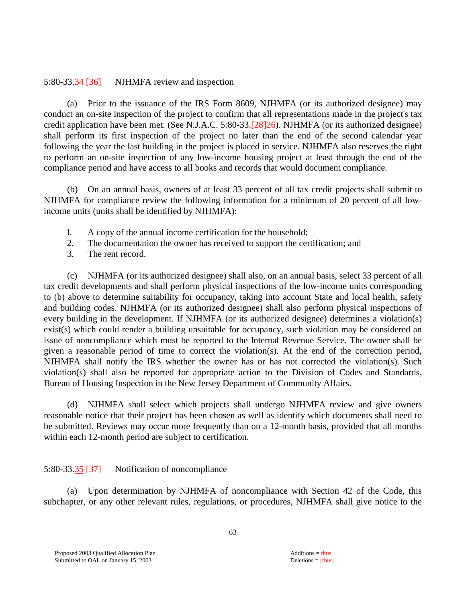#### 5:80-33.34 [36] NJHMFA review and inspection

 (a) Prior to the issuance of the IRS Form 8609, NJHMFA (or its authorized designee) may conduct an on-site inspection of the project to confirm that all representations made in the project's tax credit application have been met. (See N.J.A.C. 5:80-33.[28]26). NJHMFA (or its authorized designee) shall perform its first inspection of the project no later than the end of the second calendar year following the year the last building in the project is placed in service. NJHMFA also reserves the right to perform an on-site inspection of any low-income housing project at least through the end of the compliance period and have access to all books and records that would document compliance.

 (b) On an annual basis, owners of at least 33 percent of all tax credit projects shall submit to NJHMFA for compliance review the following information for a minimum of 20 percent of all lowincome units (units shall be identified by NJHMFA):

- l. A copy of the annual income certification for the household;
- 2. The documentation the owner has received to support the certification; and
- 3. The rent record.

 (c) NJHMFA (or its authorized designee) shall also, on an annual basis, select 33 percent of all tax credit developments and shall perform physical inspections of the low-income units corresponding to (b) above to determine suitability for occupancy, taking into account State and local health, safety and building codes. NJHMFA (or its authorized designee) shall also perform physical inspections of every building in the development. If NJHMFA (or its authorized designee) determines a violation(s) exist(s) which could render a building unsuitable for occupancy, such violation may be considered an issue of noncompliance which must be reported to the Internal Revenue Service. The owner shall be given a reasonable period of time to correct the violation(s). At the end of the correction period, NJHMFA shall notify the IRS whether the owner has or has not corrected the violation(s). Such violation(s) shall also be reported for appropriate action to the Division of Codes and Standards, Bureau of Housing Inspection in the New Jersey Department of Community Affairs.

 (d) NJHMFA shall select which projects shall undergo NJHMFA review and give owners reasonable notice that their project has been chosen as well as identify which documents shall need to be submitted. Reviews may occur more frequently than on a 12-month basis, provided that all months within each 12-month period are subject to certification.

# 5:80-33.35 [37] Notification of noncompliance

 (a) Upon determination by NJHMFA of noncompliance with Section 42 of the Code, this subchapter, or any other relevant rules, regulations, or procedures, NJHMFA shall give notice to the